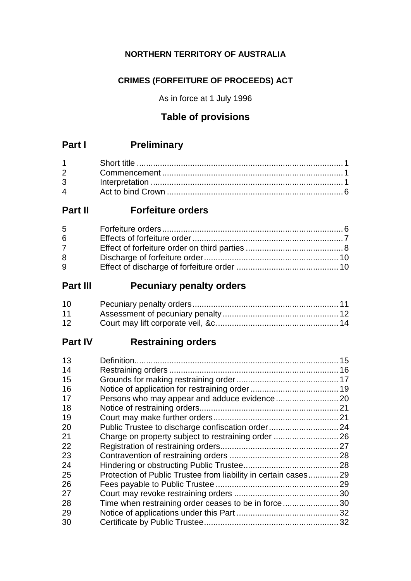## **NORTHERN TERRITORY OF AUSTRALIA**

## **CRIMES (FORFEITURE OF PROCEEDS) ACT**

As in force at 1 July 1996

## **Table of provisions**

# **Part I Preliminary**

## **Part II Forfeiture orders**

| $5^{\circ}$ |  |
|-------------|--|
| 6           |  |
| $7^{\circ}$ |  |
| 8           |  |
| 9           |  |

# **Part III Pecuniary penalty orders**

| 10              |  |
|-----------------|--|
| 11              |  |
| 12 <sup>7</sup> |  |

## **Part IV Restraining orders**

| 13 |                                                                 |  |
|----|-----------------------------------------------------------------|--|
| 14 |                                                                 |  |
|    |                                                                 |  |
| 15 |                                                                 |  |
| 16 |                                                                 |  |
| 17 |                                                                 |  |
| 18 |                                                                 |  |
| 19 |                                                                 |  |
| 20 |                                                                 |  |
| 21 |                                                                 |  |
| 22 |                                                                 |  |
| 23 |                                                                 |  |
| 24 |                                                                 |  |
| 25 | Protection of Public Trustee from liability in certain cases 29 |  |
| 26 |                                                                 |  |
| 27 |                                                                 |  |
| 28 | Time when restraining order ceases to be in force30             |  |
| 29 |                                                                 |  |
| 30 |                                                                 |  |
|    |                                                                 |  |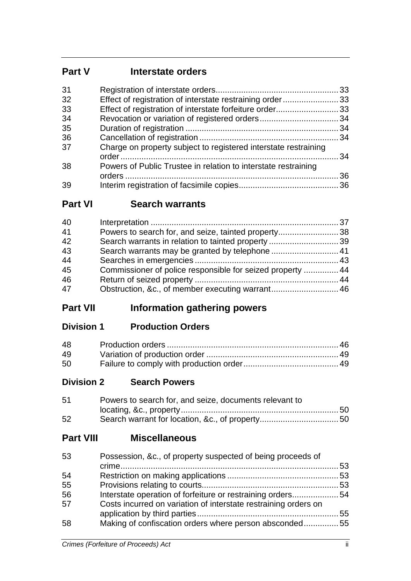## **Part V Interstate orders**

| 31 |                                                                 |  |
|----|-----------------------------------------------------------------|--|
| 32 | Effect of registration of interstate restraining order33        |  |
| 33 | Effect of registration of interstate forfeiture order33         |  |
| 34 |                                                                 |  |
| 35 |                                                                 |  |
| 36 |                                                                 |  |
| 37 | Charge on property subject to registered interstate restraining |  |
| 38 | Powers of Public Trustee in relation to interstate restraining  |  |
| 39 |                                                                 |  |
|    |                                                                 |  |

# **Part VI Search warrants**

| 40 |                                                            |  |
|----|------------------------------------------------------------|--|
| 41 | Powers to search for, and seize, tainted property38        |  |
| 42 | Search warrants in relation to tainted property 39         |  |
| 43 |                                                            |  |
| 44 |                                                            |  |
| 45 | Commissioner of police responsible for seized property  44 |  |
| 46 |                                                            |  |
| 47 |                                                            |  |

# **Part VII Information gathering powers**

**Division 1 Production Orders**

| 48 |  |
|----|--|
| 49 |  |
| 50 |  |

**Division 2 Search Powers**

| 51 | Powers to search for, and seize, documents relevant to |  |
|----|--------------------------------------------------------|--|
|    |                                                        |  |
| 52 |                                                        |  |

**Part VIII Miscellaneous**

| 53 | Possession, &c., of property suspected of being proceeds of     |  |
|----|-----------------------------------------------------------------|--|
|    |                                                                 |  |
| 54 |                                                                 |  |
| 55 |                                                                 |  |
| 56 | Interstate operation of forfeiture or restraining orders54      |  |
| 57 | Costs incurred on variation of interstate restraining orders on |  |
|    |                                                                 |  |
| 58 | Making of confiscation orders where person absconded55          |  |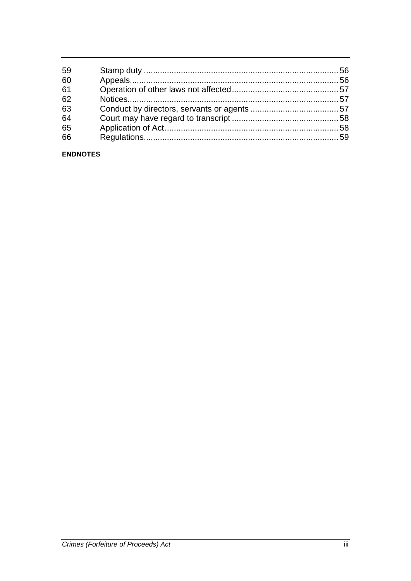#### **ENDNOTES**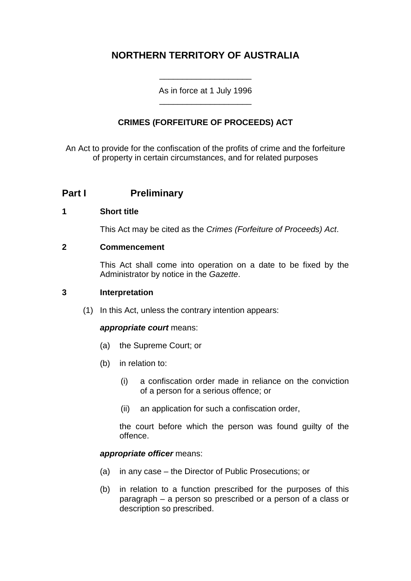## **NORTHERN TERRITORY OF AUSTRALIA**

As in force at 1 July 1996 \_\_\_\_\_\_\_\_\_\_\_\_\_\_\_\_\_\_\_\_

\_\_\_\_\_\_\_\_\_\_\_\_\_\_\_\_\_\_\_\_

## **CRIMES (FORFEITURE OF PROCEEDS) ACT**

An Act to provide for the confiscation of the profits of crime and the forfeiture of property in certain circumstances, and for related purposes

## **Part I Preliminary**

### **1 Short title**

This Act may be cited as the *Crimes (Forfeiture of Proceeds) Act*.

#### **2 Commencement**

This Act shall come into operation on a date to be fixed by the Administrator by notice in the *Gazette*.

#### **3 Interpretation**

(1) In this Act, unless the contrary intention appears:

#### *appropriate court* means:

- (a) the Supreme Court; or
- (b) in relation to:
	- (i) a confiscation order made in reliance on the conviction of a person for a serious offence; or
	- (ii) an application for such a confiscation order,

the court before which the person was found guilty of the offence.

#### *appropriate officer* means:

- (a) in any case the Director of Public Prosecutions; or
- (b) in relation to a function prescribed for the purposes of this paragraph – a person so prescribed or a person of a class or description so prescribed.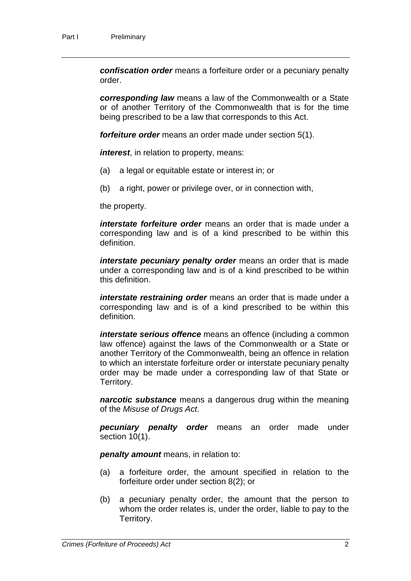*confiscation order* means a forfeiture order or a pecuniary penalty order.

*corresponding law* means a law of the Commonwealth or a State or of another Territory of the Commonwealth that is for the time being prescribed to be a law that corresponds to this Act.

*forfeiture order* means an order made under section 5(1).

*interest*, in relation to property, means:

- (a) a legal or equitable estate or interest in; or
- (b) a right, power or privilege over, or in connection with,

the property.

*interstate forfeiture order* means an order that is made under a corresponding law and is of a kind prescribed to be within this definition.

*interstate pecuniary penalty order* means an order that is made under a corresponding law and is of a kind prescribed to be within this definition.

*interstate restraining order* means an order that is made under a corresponding law and is of a kind prescribed to be within this definition.

*interstate serious offence* means an offence (including a common law offence) against the laws of the Commonwealth or a State or another Territory of the Commonwealth, being an offence in relation to which an interstate forfeiture order or interstate pecuniary penalty order may be made under a corresponding law of that State or Territory.

*narcotic substance* means a dangerous drug within the meaning of the *Misuse of Drugs Act*.

*pecuniary penalty order* means an order made under section 10(1).

*penalty amount* means, in relation to:

- (a) a forfeiture order, the amount specified in relation to the forfeiture order under section 8(2); or
- (b) a pecuniary penalty order, the amount that the person to whom the order relates is, under the order, liable to pay to the Territory.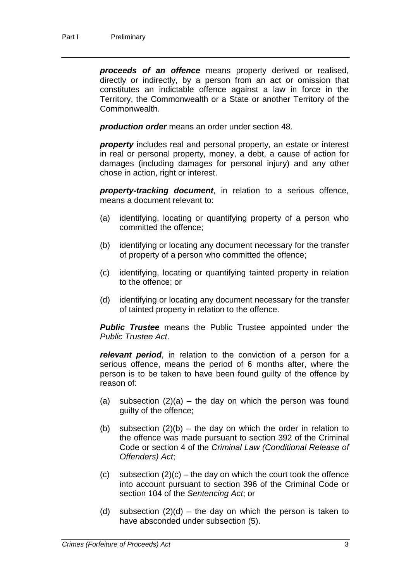*proceeds of an offence* means property derived or realised, directly or indirectly, by a person from an act or omission that constitutes an indictable offence against a law in force in the Territory, the Commonwealth or a State or another Territory of the Commonwealth.

*production order* means an order under section 48.

*property* includes real and personal property, an estate or interest in real or personal property, money, a debt, a cause of action for damages (including damages for personal injury) and any other chose in action, right or interest.

*property-tracking document*, in relation to a serious offence, means a document relevant to:

- (a) identifying, locating or quantifying property of a person who committed the offence;
- (b) identifying or locating any document necessary for the transfer of property of a person who committed the offence;
- (c) identifying, locating or quantifying tainted property in relation to the offence; or
- (d) identifying or locating any document necessary for the transfer of tainted property in relation to the offence.

**Public Trustee** means the Public Trustee appointed under the *Public Trustee Act*.

*relevant period*, in relation to the conviction of a person for a serious offence, means the period of 6 months after, where the person is to be taken to have been found guilty of the offence by reason of:

- (a) subsection  $(2)(a)$  the day on which the person was found guilty of the offence;
- (b) subsection  $(2)(b)$  the day on which the order in relation to the offence was made pursuant to section 392 of the Criminal Code or section 4 of the *Criminal Law (Conditional Release of Offenders) Act*;
- (c) subsection  $(2)(c)$  the day on which the court took the offence into account pursuant to section 396 of the Criminal Code or section 104 of the *Sentencing Act*; or
- (d) subsection  $(2)(d)$  the day on which the person is taken to have absconded under subsection (5).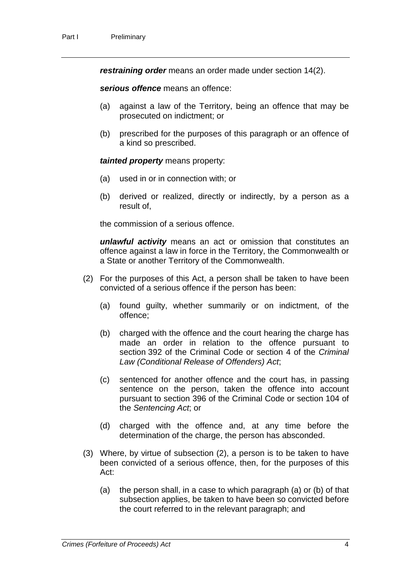*restraining order* means an order made under section 14(2).

*serious offence* means an offence:

- (a) against a law of the Territory, being an offence that may be prosecuted on indictment; or
- (b) prescribed for the purposes of this paragraph or an offence of a kind so prescribed.

*tainted property* means property:

- (a) used in or in connection with; or
- (b) derived or realized, directly or indirectly, by a person as a result of,

the commission of a serious offence.

*unlawful activity* means an act or omission that constitutes an offence against a law in force in the Territory, the Commonwealth or a State or another Territory of the Commonwealth.

- (2) For the purposes of this Act, a person shall be taken to have been convicted of a serious offence if the person has been:
	- (a) found guilty, whether summarily or on indictment, of the offence;
	- (b) charged with the offence and the court hearing the charge has made an order in relation to the offence pursuant to section 392 of the Criminal Code or section 4 of the *Criminal Law (Conditional Release of Offenders) Act*;
	- (c) sentenced for another offence and the court has, in passing sentence on the person, taken the offence into account pursuant to section 396 of the Criminal Code or section 104 of the *Sentencing Act*; or
	- (d) charged with the offence and, at any time before the determination of the charge, the person has absconded.
- (3) Where, by virtue of subsection (2), a person is to be taken to have been convicted of a serious offence, then, for the purposes of this Act:
	- (a) the person shall, in a case to which paragraph (a) or (b) of that subsection applies, be taken to have been so convicted before the court referred to in the relevant paragraph; and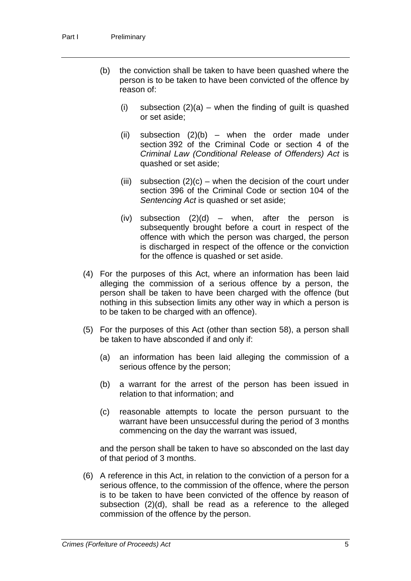- (b) the conviction shall be taken to have been quashed where the person is to be taken to have been convicted of the offence by reason of:
	- (i) subsection  $(2)(a)$  when the finding of guilt is quashed or set aside;
	- (ii) subsection  $(2)(b)$  when the order made under section 392 of the Criminal Code or section 4 of the *Criminal Law (Conditional Release of Offenders) Act* is quashed or set aside;
	- (iii) subsection  $(2)(c)$  when the decision of the court under section 396 of the Criminal Code or section 104 of the *Sentencing Act* is quashed or set aside;
	- (iv) subsection  $(2)(d)$  when, after the person is subsequently brought before a court in respect of the offence with which the person was charged, the person is discharged in respect of the offence or the conviction for the offence is quashed or set aside.
- (4) For the purposes of this Act, where an information has been laid alleging the commission of a serious offence by a person, the person shall be taken to have been charged with the offence (but nothing in this subsection limits any other way in which a person is to be taken to be charged with an offence).
- (5) For the purposes of this Act (other than section 58), a person shall be taken to have absconded if and only if:
	- (a) an information has been laid alleging the commission of a serious offence by the person;
	- (b) a warrant for the arrest of the person has been issued in relation to that information; and
	- (c) reasonable attempts to locate the person pursuant to the warrant have been unsuccessful during the period of 3 months commencing on the day the warrant was issued,

and the person shall be taken to have so absconded on the last day of that period of 3 months.

(6) A reference in this Act, in relation to the conviction of a person for a serious offence, to the commission of the offence, where the person is to be taken to have been convicted of the offence by reason of subsection (2)(d), shall be read as a reference to the alleged commission of the offence by the person.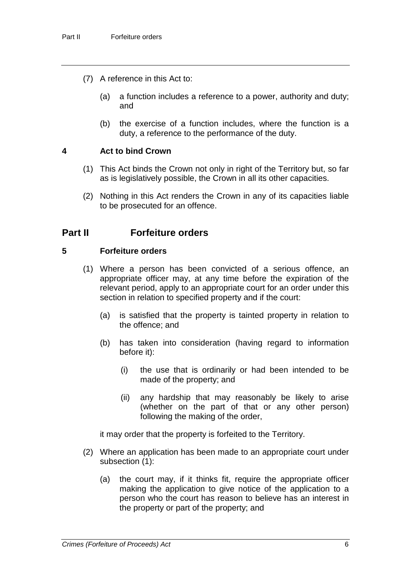- (7) A reference in this Act to:
	- (a) a function includes a reference to a power, authority and duty; and
	- (b) the exercise of a function includes, where the function is a duty, a reference to the performance of the duty.

### **4 Act to bind Crown**

- (1) This Act binds the Crown not only in right of the Territory but, so far as is legislatively possible, the Crown in all its other capacities.
- (2) Nothing in this Act renders the Crown in any of its capacities liable to be prosecuted for an offence.

## **Part II Forfeiture orders**

#### **5 Forfeiture orders**

- (1) Where a person has been convicted of a serious offence, an appropriate officer may, at any time before the expiration of the relevant period, apply to an appropriate court for an order under this section in relation to specified property and if the court:
	- (a) is satisfied that the property is tainted property in relation to the offence; and
	- (b) has taken into consideration (having regard to information before it):
		- (i) the use that is ordinarily or had been intended to be made of the property; and
		- (ii) any hardship that may reasonably be likely to arise (whether on the part of that or any other person) following the making of the order,

it may order that the property is forfeited to the Territory.

- (2) Where an application has been made to an appropriate court under subsection (1):
	- (a) the court may, if it thinks fit, require the appropriate officer making the application to give notice of the application to a person who the court has reason to believe has an interest in the property or part of the property; and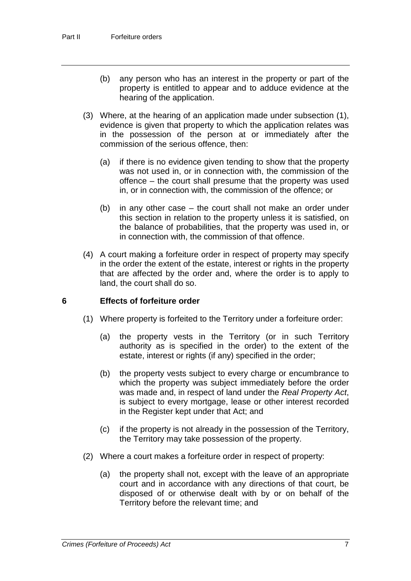- (b) any person who has an interest in the property or part of the property is entitled to appear and to adduce evidence at the hearing of the application.
- (3) Where, at the hearing of an application made under subsection (1), evidence is given that property to which the application relates was in the possession of the person at or immediately after the commission of the serious offence, then:
	- (a) if there is no evidence given tending to show that the property was not used in, or in connection with, the commission of the offence – the court shall presume that the property was used in, or in connection with, the commission of the offence; or
	- (b) in any other case the court shall not make an order under this section in relation to the property unless it is satisfied, on the balance of probabilities, that the property was used in, or in connection with, the commission of that offence.
- (4) A court making a forfeiture order in respect of property may specify in the order the extent of the estate, interest or rights in the property that are affected by the order and, where the order is to apply to land, the court shall do so.

#### **6 Effects of forfeiture order**

- (1) Where property is forfeited to the Territory under a forfeiture order:
	- (a) the property vests in the Territory (or in such Territory authority as is specified in the order) to the extent of the estate, interest or rights (if any) specified in the order;
	- (b) the property vests subject to every charge or encumbrance to which the property was subject immediately before the order was made and, in respect of land under the *Real Property Act*, is subject to every mortgage, lease or other interest recorded in the Register kept under that Act; and
	- (c) if the property is not already in the possession of the Territory, the Territory may take possession of the property.
- (2) Where a court makes a forfeiture order in respect of property:
	- (a) the property shall not, except with the leave of an appropriate court and in accordance with any directions of that court, be disposed of or otherwise dealt with by or on behalf of the Territory before the relevant time; and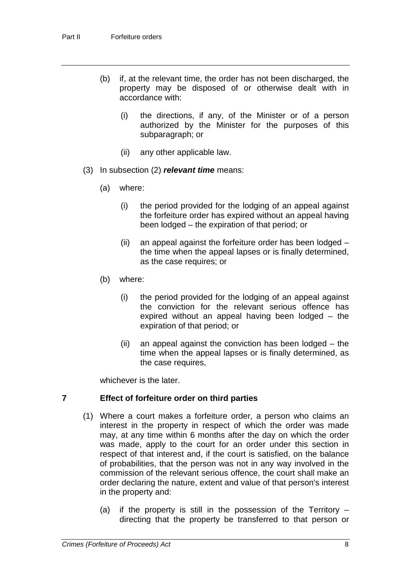- (b) if, at the relevant time, the order has not been discharged, the property may be disposed of or otherwise dealt with in accordance with:
	- (i) the directions, if any, of the Minister or of a person authorized by the Minister for the purposes of this subparagraph; or
	- (ii) any other applicable law.
- (3) In subsection (2) *relevant time* means:
	- (a) where:
		- (i) the period provided for the lodging of an appeal against the forfeiture order has expired without an appeal having been lodged – the expiration of that period; or
		- (ii) an appeal against the forfeiture order has been lodged the time when the appeal lapses or is finally determined, as the case requires; or
	- (b) where:
		- (i) the period provided for the lodging of an appeal against the conviction for the relevant serious offence has expired without an appeal having been lodged – the expiration of that period; or
		- (ii) an appeal against the conviction has been lodged the time when the appeal lapses or is finally determined, as the case requires,

whichever is the later.

#### **7 Effect of forfeiture order on third parties**

- (1) Where a court makes a forfeiture order, a person who claims an interest in the property in respect of which the order was made may, at any time within 6 months after the day on which the order was made, apply to the court for an order under this section in respect of that interest and, if the court is satisfied, on the balance of probabilities, that the person was not in any way involved in the commission of the relevant serious offence, the court shall make an order declaring the nature, extent and value of that person's interest in the property and:
	- (a) if the property is still in the possession of the Territory directing that the property be transferred to that person or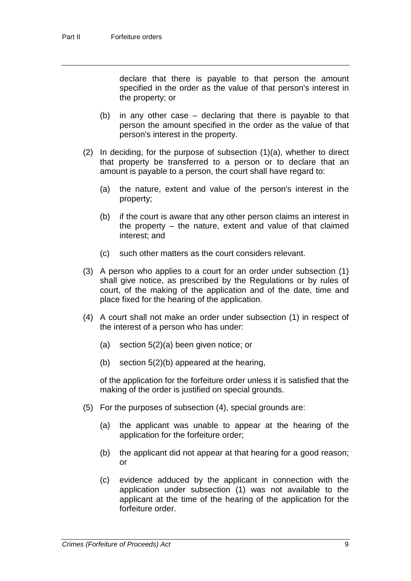declare that there is payable to that person the amount specified in the order as the value of that person's interest in the property; or

- (b) in any other case declaring that there is payable to that person the amount specified in the order as the value of that person's interest in the property.
- (2) In deciding, for the purpose of subsection (1)(a), whether to direct that property be transferred to a person or to declare that an amount is payable to a person, the court shall have regard to:
	- (a) the nature, extent and value of the person's interest in the property;
	- (b) if the court is aware that any other person claims an interest in the property – the nature, extent and value of that claimed interest; and
	- (c) such other matters as the court considers relevant.
- (3) A person who applies to a court for an order under subsection (1) shall give notice, as prescribed by the Regulations or by rules of court, of the making of the application and of the date, time and place fixed for the hearing of the application.
- (4) A court shall not make an order under subsection (1) in respect of the interest of a person who has under:
	- (a) section 5(2)(a) been given notice; or
	- (b) section 5(2)(b) appeared at the hearing,

of the application for the forfeiture order unless it is satisfied that the making of the order is justified on special grounds.

- (5) For the purposes of subsection (4), special grounds are:
	- (a) the applicant was unable to appear at the hearing of the application for the forfeiture order;
	- (b) the applicant did not appear at that hearing for a good reason; or
	- (c) evidence adduced by the applicant in connection with the application under subsection (1) was not available to the applicant at the time of the hearing of the application for the forfeiture order.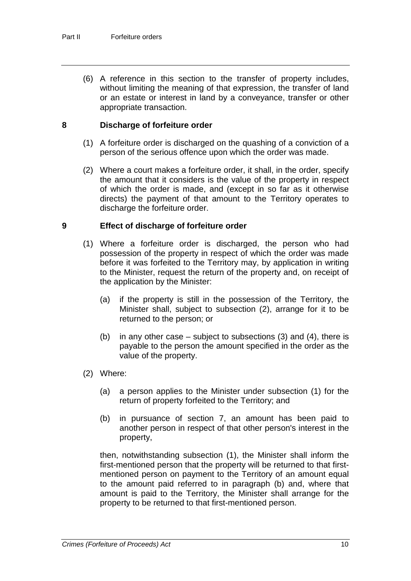(6) A reference in this section to the transfer of property includes, without limiting the meaning of that expression, the transfer of land or an estate or interest in land by a conveyance, transfer or other appropriate transaction.

#### **8 Discharge of forfeiture order**

- (1) A forfeiture order is discharged on the quashing of a conviction of a person of the serious offence upon which the order was made.
- (2) Where a court makes a forfeiture order, it shall, in the order, specify the amount that it considers is the value of the property in respect of which the order is made, and (except in so far as it otherwise directs) the payment of that amount to the Territory operates to discharge the forfeiture order.

#### **9 Effect of discharge of forfeiture order**

- (1) Where a forfeiture order is discharged, the person who had possession of the property in respect of which the order was made before it was forfeited to the Territory may, by application in writing to the Minister, request the return of the property and, on receipt of the application by the Minister:
	- (a) if the property is still in the possession of the Territory, the Minister shall, subject to subsection (2), arrange for it to be returned to the person; or
	- (b) in any other case subject to subsections  $(3)$  and  $(4)$ , there is payable to the person the amount specified in the order as the value of the property.
- (2) Where:
	- (a) a person applies to the Minister under subsection (1) for the return of property forfeited to the Territory; and
	- (b) in pursuance of section 7, an amount has been paid to another person in respect of that other person's interest in the property,

then, notwithstanding subsection (1), the Minister shall inform the first-mentioned person that the property will be returned to that firstmentioned person on payment to the Territory of an amount equal to the amount paid referred to in paragraph (b) and, where that amount is paid to the Territory, the Minister shall arrange for the property to be returned to that first-mentioned person.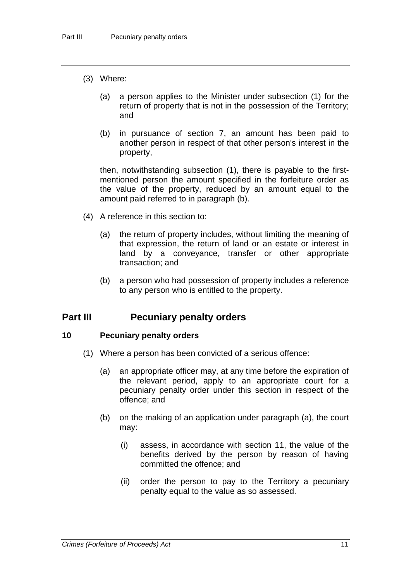- (3) Where:
	- (a) a person applies to the Minister under subsection (1) for the return of property that is not in the possession of the Territory; and
	- (b) in pursuance of section 7, an amount has been paid to another person in respect of that other person's interest in the property,

then, notwithstanding subsection (1), there is payable to the firstmentioned person the amount specified in the forfeiture order as the value of the property, reduced by an amount equal to the amount paid referred to in paragraph (b).

- (4) A reference in this section to:
	- (a) the return of property includes, without limiting the meaning of that expression, the return of land or an estate or interest in land by a conveyance, transfer or other appropriate transaction; and
	- (b) a person who had possession of property includes a reference to any person who is entitled to the property.

## **Part III Pecuniary penalty orders**

#### **10 Pecuniary penalty orders**

- (1) Where a person has been convicted of a serious offence:
	- (a) an appropriate officer may, at any time before the expiration of the relevant period, apply to an appropriate court for a pecuniary penalty order under this section in respect of the offence; and
	- (b) on the making of an application under paragraph (a), the court may:
		- (i) assess, in accordance with section 11, the value of the benefits derived by the person by reason of having committed the offence; and
		- (ii) order the person to pay to the Territory a pecuniary penalty equal to the value as so assessed.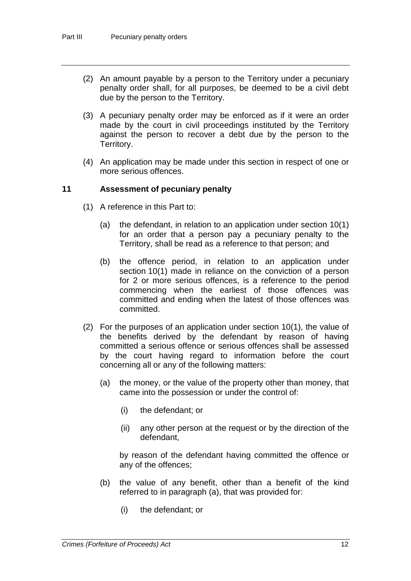- (2) An amount payable by a person to the Territory under a pecuniary penalty order shall, for all purposes, be deemed to be a civil debt due by the person to the Territory.
- (3) A pecuniary penalty order may be enforced as if it were an order made by the court in civil proceedings instituted by the Territory against the person to recover a debt due by the person to the Territory.
- (4) An application may be made under this section in respect of one or more serious offences.

#### **11 Assessment of pecuniary penalty**

- (1) A reference in this Part to:
	- (a) the defendant, in relation to an application under section 10(1) for an order that a person pay a pecuniary penalty to the Territory, shall be read as a reference to that person; and
	- (b) the offence period, in relation to an application under section 10(1) made in reliance on the conviction of a person for 2 or more serious offences, is a reference to the period commencing when the earliest of those offences was committed and ending when the latest of those offences was committed.
- (2) For the purposes of an application under section 10(1), the value of the benefits derived by the defendant by reason of having committed a serious offence or serious offences shall be assessed by the court having regard to information before the court concerning all or any of the following matters:
	- (a) the money, or the value of the property other than money, that came into the possession or under the control of:
		- (i) the defendant; or
		- (ii) any other person at the request or by the direction of the defendant,

by reason of the defendant having committed the offence or any of the offences;

- (b) the value of any benefit, other than a benefit of the kind referred to in paragraph (a), that was provided for:
	- (i) the defendant; or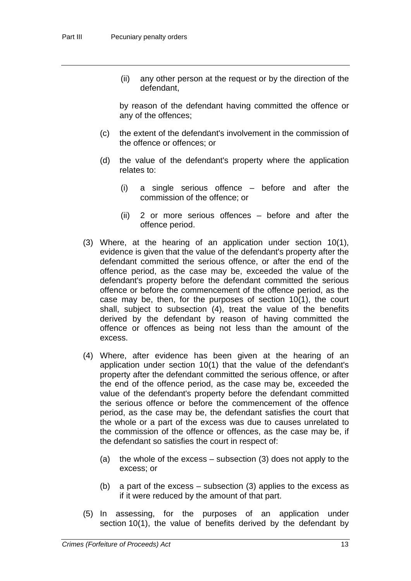(ii) any other person at the request or by the direction of the defendant,

by reason of the defendant having committed the offence or any of the offences;

- (c) the extent of the defendant's involvement in the commission of the offence or offences; or
- (d) the value of the defendant's property where the application relates to:
	- (i) a single serious offence before and after the commission of the offence; or
	- (ii) 2 or more serious offences before and after the offence period.
- (3) Where, at the hearing of an application under section 10(1), evidence is given that the value of the defendant's property after the defendant committed the serious offence, or after the end of the offence period, as the case may be, exceeded the value of the defendant's property before the defendant committed the serious offence or before the commencement of the offence period, as the case may be, then, for the purposes of section 10(1), the court shall, subject to subsection (4), treat the value of the benefits derived by the defendant by reason of having committed the offence or offences as being not less than the amount of the excess.
- (4) Where, after evidence has been given at the hearing of an application under section 10(1) that the value of the defendant's property after the defendant committed the serious offence, or after the end of the offence period, as the case may be, exceeded the value of the defendant's property before the defendant committed the serious offence or before the commencement of the offence period, as the case may be, the defendant satisfies the court that the whole or a part of the excess was due to causes unrelated to the commission of the offence or offences, as the case may be, if the defendant so satisfies the court in respect of:
	- (a) the whole of the excess subsection (3) does not apply to the excess; or
	- (b) a part of the excess subsection (3) applies to the excess as if it were reduced by the amount of that part.
- (5) In assessing, for the purposes of an application under section 10(1), the value of benefits derived by the defendant by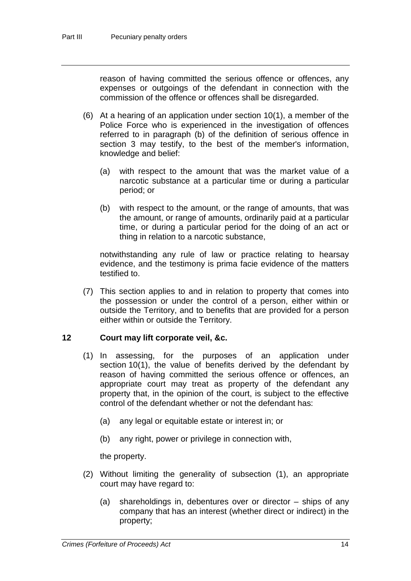reason of having committed the serious offence or offences, any expenses or outgoings of the defendant in connection with the commission of the offence or offences shall be disregarded.

- (6) At a hearing of an application under section 10(1), a member of the Police Force who is experienced in the investigation of offences referred to in paragraph (b) of the definition of serious offence in section 3 may testify, to the best of the member's information, knowledge and belief:
	- (a) with respect to the amount that was the market value of a narcotic substance at a particular time or during a particular period; or
	- (b) with respect to the amount, or the range of amounts, that was the amount, or range of amounts, ordinarily paid at a particular time, or during a particular period for the doing of an act or thing in relation to a narcotic substance,

notwithstanding any rule of law or practice relating to hearsay evidence, and the testimony is prima facie evidence of the matters testified to.

(7) This section applies to and in relation to property that comes into the possession or under the control of a person, either within or outside the Territory, and to benefits that are provided for a person either within or outside the Territory.

### **12 Court may lift corporate veil, &c.**

- (1) In assessing, for the purposes of an application under section 10(1), the value of benefits derived by the defendant by reason of having committed the serious offence or offences, an appropriate court may treat as property of the defendant any property that, in the opinion of the court, is subject to the effective control of the defendant whether or not the defendant has:
	- (a) any legal or equitable estate or interest in; or
	- (b) any right, power or privilege in connection with,

the property.

- (2) Without limiting the generality of subsection (1), an appropriate court may have regard to:
	- (a) shareholdings in, debentures over or director ships of any company that has an interest (whether direct or indirect) in the property;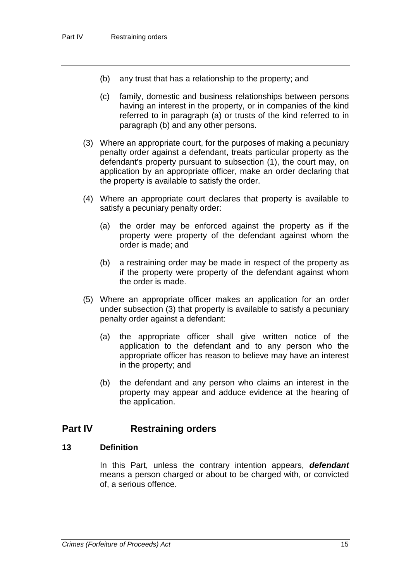- (b) any trust that has a relationship to the property; and
- (c) family, domestic and business relationships between persons having an interest in the property, or in companies of the kind referred to in paragraph (a) or trusts of the kind referred to in paragraph (b) and any other persons.
- (3) Where an appropriate court, for the purposes of making a pecuniary penalty order against a defendant, treats particular property as the defendant's property pursuant to subsection (1), the court may, on application by an appropriate officer, make an order declaring that the property is available to satisfy the order.
- (4) Where an appropriate court declares that property is available to satisfy a pecuniary penalty order:
	- (a) the order may be enforced against the property as if the property were property of the defendant against whom the order is made; and
	- (b) a restraining order may be made in respect of the property as if the property were property of the defendant against whom the order is made.
- (5) Where an appropriate officer makes an application for an order under subsection (3) that property is available to satisfy a pecuniary penalty order against a defendant:
	- (a) the appropriate officer shall give written notice of the application to the defendant and to any person who the appropriate officer has reason to believe may have an interest in the property; and
	- (b) the defendant and any person who claims an interest in the property may appear and adduce evidence at the hearing of the application.

## **Part IV Restraining orders**

#### **13 Definition**

In this Part, unless the contrary intention appears, *defendant* means a person charged or about to be charged with, or convicted of, a serious offence.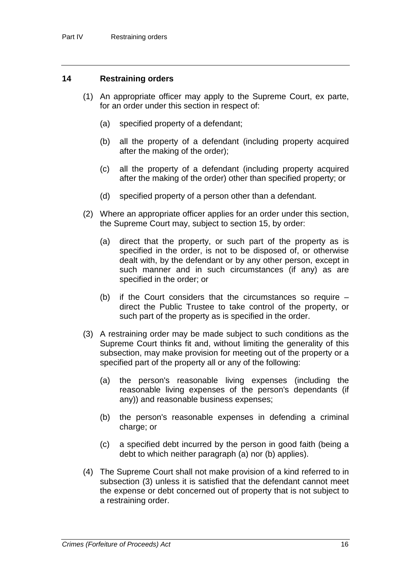#### **14 Restraining orders**

- (1) An appropriate officer may apply to the Supreme Court, ex parte, for an order under this section in respect of:
	- (a) specified property of a defendant;
	- (b) all the property of a defendant (including property acquired after the making of the order);
	- (c) all the property of a defendant (including property acquired after the making of the order) other than specified property; or
	- (d) specified property of a person other than a defendant.
- (2) Where an appropriate officer applies for an order under this section, the Supreme Court may, subject to section 15, by order:
	- (a) direct that the property, or such part of the property as is specified in the order, is not to be disposed of, or otherwise dealt with, by the defendant or by any other person, except in such manner and in such circumstances (if any) as are specified in the order; or
	- (b) if the Court considers that the circumstances so require direct the Public Trustee to take control of the property, or such part of the property as is specified in the order.
- (3) A restraining order may be made subject to such conditions as the Supreme Court thinks fit and, without limiting the generality of this subsection, may make provision for meeting out of the property or a specified part of the property all or any of the following:
	- (a) the person's reasonable living expenses (including the reasonable living expenses of the person's dependants (if any)) and reasonable business expenses;
	- (b) the person's reasonable expenses in defending a criminal charge; or
	- (c) a specified debt incurred by the person in good faith (being a debt to which neither paragraph (a) nor (b) applies).
- (4) The Supreme Court shall not make provision of a kind referred to in subsection (3) unless it is satisfied that the defendant cannot meet the expense or debt concerned out of property that is not subject to a restraining order.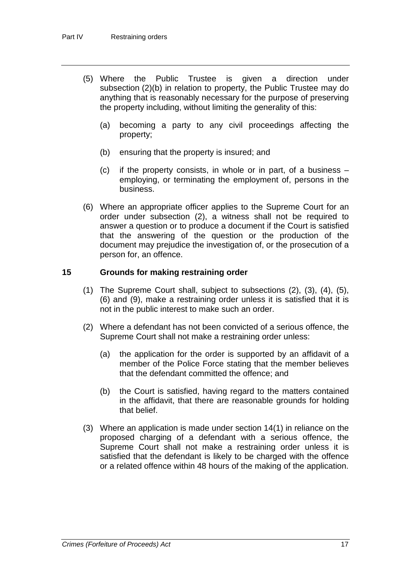- (5) Where the Public Trustee is given a direction under subsection (2)(b) in relation to property, the Public Trustee may do anything that is reasonably necessary for the purpose of preserving the property including, without limiting the generality of this:
	- (a) becoming a party to any civil proceedings affecting the property;
	- (b) ensuring that the property is insured; and
	- (c) if the property consists, in whole or in part, of a business employing, or terminating the employment of, persons in the business.
- (6) Where an appropriate officer applies to the Supreme Court for an order under subsection (2), a witness shall not be required to answer a question or to produce a document if the Court is satisfied that the answering of the question or the production of the document may prejudice the investigation of, or the prosecution of a person for, an offence.

#### **15 Grounds for making restraining order**

- (1) The Supreme Court shall, subject to subsections (2), (3), (4), (5), (6) and (9), make a restraining order unless it is satisfied that it is not in the public interest to make such an order.
- (2) Where a defendant has not been convicted of a serious offence, the Supreme Court shall not make a restraining order unless:
	- (a) the application for the order is supported by an affidavit of a member of the Police Force stating that the member believes that the defendant committed the offence; and
	- (b) the Court is satisfied, having regard to the matters contained in the affidavit, that there are reasonable grounds for holding that belief.
- (3) Where an application is made under section 14(1) in reliance on the proposed charging of a defendant with a serious offence, the Supreme Court shall not make a restraining order unless it is satisfied that the defendant is likely to be charged with the offence or a related offence within 48 hours of the making of the application.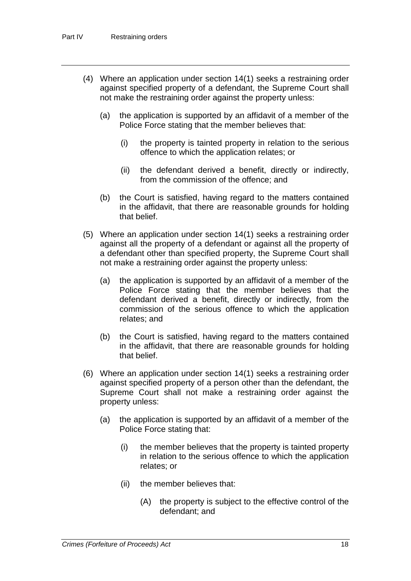- (4) Where an application under section 14(1) seeks a restraining order against specified property of a defendant, the Supreme Court shall not make the restraining order against the property unless:
	- (a) the application is supported by an affidavit of a member of the Police Force stating that the member believes that:
		- (i) the property is tainted property in relation to the serious offence to which the application relates; or
		- (ii) the defendant derived a benefit, directly or indirectly, from the commission of the offence; and
	- (b) the Court is satisfied, having regard to the matters contained in the affidavit, that there are reasonable grounds for holding that belief.
- (5) Where an application under section 14(1) seeks a restraining order against all the property of a defendant or against all the property of a defendant other than specified property, the Supreme Court shall not make a restraining order against the property unless:
	- (a) the application is supported by an affidavit of a member of the Police Force stating that the member believes that the defendant derived a benefit, directly or indirectly, from the commission of the serious offence to which the application relates; and
	- (b) the Court is satisfied, having regard to the matters contained in the affidavit, that there are reasonable grounds for holding that belief.
- (6) Where an application under section 14(1) seeks a restraining order against specified property of a person other than the defendant, the Supreme Court shall not make a restraining order against the property unless:
	- (a) the application is supported by an affidavit of a member of the Police Force stating that:
		- (i) the member believes that the property is tainted property in relation to the serious offence to which the application relates; or
		- (ii) the member believes that:
			- (A) the property is subject to the effective control of the defendant; and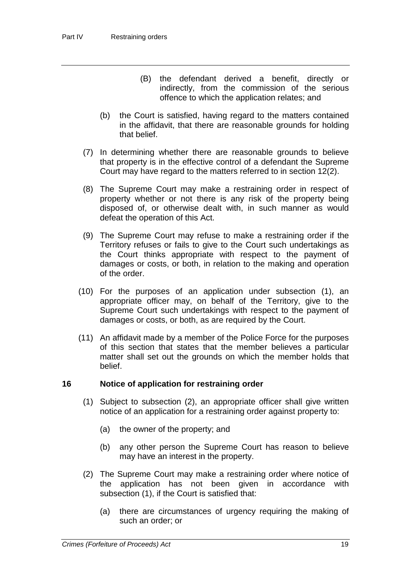- (B) the defendant derived a benefit, directly or indirectly, from the commission of the serious offence to which the application relates; and
- (b) the Court is satisfied, having regard to the matters contained in the affidavit, that there are reasonable grounds for holding that belief.
- (7) In determining whether there are reasonable grounds to believe that property is in the effective control of a defendant the Supreme Court may have regard to the matters referred to in section 12(2).
- (8) The Supreme Court may make a restraining order in respect of property whether or not there is any risk of the property being disposed of, or otherwise dealt with, in such manner as would defeat the operation of this Act.
- (9) The Supreme Court may refuse to make a restraining order if the Territory refuses or fails to give to the Court such undertakings as the Court thinks appropriate with respect to the payment of damages or costs, or both, in relation to the making and operation of the order.
- (10) For the purposes of an application under subsection (1), an appropriate officer may, on behalf of the Territory, give to the Supreme Court such undertakings with respect to the payment of damages or costs, or both, as are required by the Court.
- (11) An affidavit made by a member of the Police Force for the purposes of this section that states that the member believes a particular matter shall set out the grounds on which the member holds that belief.

#### **16 Notice of application for restraining order**

- (1) Subject to subsection (2), an appropriate officer shall give written notice of an application for a restraining order against property to:
	- (a) the owner of the property; and
	- (b) any other person the Supreme Court has reason to believe may have an interest in the property.
- (2) The Supreme Court may make a restraining order where notice of the application has not been given in accordance with subsection (1), if the Court is satisfied that:
	- (a) there are circumstances of urgency requiring the making of such an order; or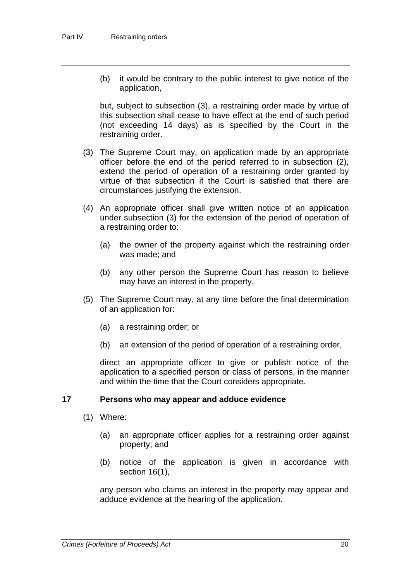(b) it would be contrary to the public interest to give notice of the application,

but, subject to subsection (3), a restraining order made by virtue of this subsection shall cease to have effect at the end of such period (not exceeding 14 days) as is specified by the Court in the restraining order.

- (3) The Supreme Court may, on application made by an appropriate officer before the end of the period referred to in subsection (2), extend the period of operation of a restraining order granted by virtue of that subsection if the Court is satisfied that there are circumstances justifying the extension.
- (4) An appropriate officer shall give written notice of an application under subsection (3) for the extension of the period of operation of a restraining order to:
	- (a) the owner of the property against which the restraining order was made; and
	- (b) any other person the Supreme Court has reason to believe may have an interest in the property.
- (5) The Supreme Court may, at any time before the final determination of an application for:
	- (a) a restraining order; or
	- (b) an extension of the period of operation of a restraining order,

direct an appropriate officer to give or publish notice of the application to a specified person or class of persons, in the manner and within the time that the Court considers appropriate.

#### **17 Persons who may appear and adduce evidence**

- (1) Where:
	- (a) an appropriate officer applies for a restraining order against property; and
	- (b) notice of the application is given in accordance with section 16(1),

any person who claims an interest in the property may appear and adduce evidence at the hearing of the application.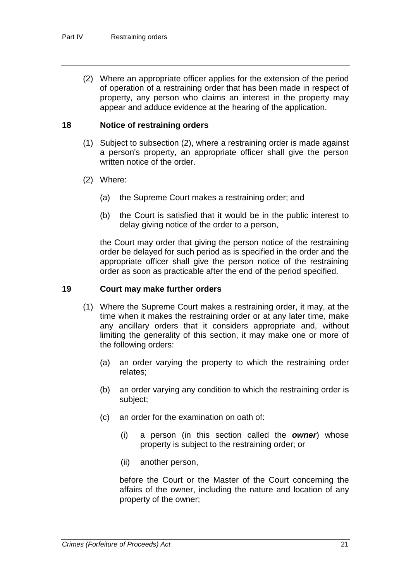(2) Where an appropriate officer applies for the extension of the period of operation of a restraining order that has been made in respect of property, any person who claims an interest in the property may appear and adduce evidence at the hearing of the application.

#### **18 Notice of restraining orders**

- (1) Subject to subsection (2), where a restraining order is made against a person's property, an appropriate officer shall give the person written notice of the order.
- (2) Where:
	- (a) the Supreme Court makes a restraining order; and
	- (b) the Court is satisfied that it would be in the public interest to delay giving notice of the order to a person,

the Court may order that giving the person notice of the restraining order be delayed for such period as is specified in the order and the appropriate officer shall give the person notice of the restraining order as soon as practicable after the end of the period specified.

#### **19 Court may make further orders**

- (1) Where the Supreme Court makes a restraining order, it may, at the time when it makes the restraining order or at any later time, make any ancillary orders that it considers appropriate and, without limiting the generality of this section, it may make one or more of the following orders:
	- (a) an order varying the property to which the restraining order relates;
	- (b) an order varying any condition to which the restraining order is subject;
	- (c) an order for the examination on oath of:
		- (i) a person (in this section called the *owner*) whose property is subject to the restraining order; or
		- (ii) another person,

before the Court or the Master of the Court concerning the affairs of the owner, including the nature and location of any property of the owner;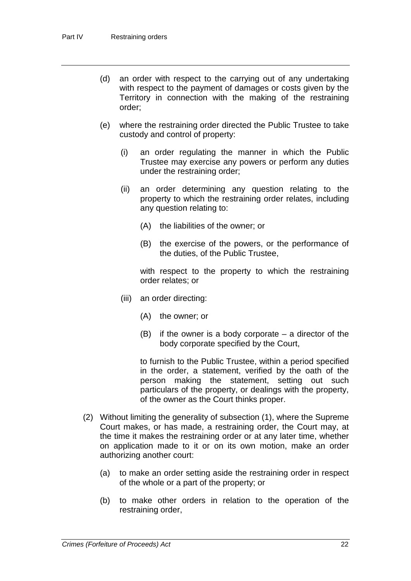- (d) an order with respect to the carrying out of any undertaking with respect to the payment of damages or costs given by the Territory in connection with the making of the restraining order;
- (e) where the restraining order directed the Public Trustee to take custody and control of property:
	- (i) an order regulating the manner in which the Public Trustee may exercise any powers or perform any duties under the restraining order;
	- (ii) an order determining any question relating to the property to which the restraining order relates, including any question relating to:
		- (A) the liabilities of the owner; or
		- (B) the exercise of the powers, or the performance of the duties, of the Public Trustee,

with respect to the property to which the restraining order relates; or

- (iii) an order directing:
	- (A) the owner; or
	- (B) if the owner is a body corporate a director of the body corporate specified by the Court,

to furnish to the Public Trustee, within a period specified in the order, a statement, verified by the oath of the person making the statement, setting out such particulars of the property, or dealings with the property, of the owner as the Court thinks proper.

- (2) Without limiting the generality of subsection (1), where the Supreme Court makes, or has made, a restraining order, the Court may, at the time it makes the restraining order or at any later time, whether on application made to it or on its own motion, make an order authorizing another court:
	- (a) to make an order setting aside the restraining order in respect of the whole or a part of the property; or
	- (b) to make other orders in relation to the operation of the restraining order,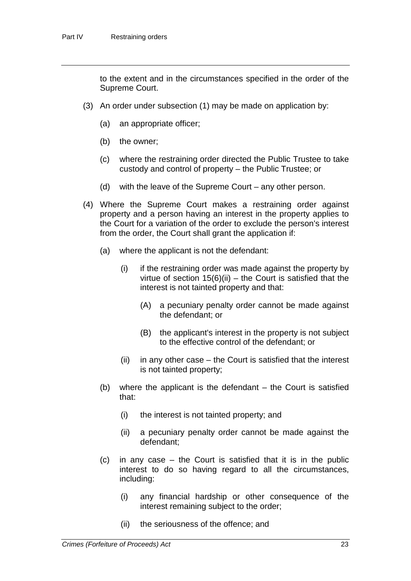to the extent and in the circumstances specified in the order of the Supreme Court.

- (3) An order under subsection (1) may be made on application by:
	- (a) an appropriate officer;
	- (b) the owner;
	- (c) where the restraining order directed the Public Trustee to take custody and control of property – the Public Trustee; or
	- (d) with the leave of the Supreme Court any other person.
- (4) Where the Supreme Court makes a restraining order against property and a person having an interest in the property applies to the Court for a variation of the order to exclude the person's interest from the order, the Court shall grant the application if:
	- (a) where the applicant is not the defendant:
		- (i) if the restraining order was made against the property by virtue of section  $15(6)$ (ii) – the Court is satisfied that the interest is not tainted property and that:
			- (A) a pecuniary penalty order cannot be made against the defendant; or
			- (B) the applicant's interest in the property is not subject to the effective control of the defendant; or
		- $(ii)$  in any other case the Court is satisfied that the interest is not tainted property;
	- (b) where the applicant is the defendant the Court is satisfied that:
		- (i) the interest is not tainted property; and
		- (ii) a pecuniary penalty order cannot be made against the defendant;
	- (c) in any case the Court is satisfied that it is in the public interest to do so having regard to all the circumstances, including:
		- (i) any financial hardship or other consequence of the interest remaining subject to the order;
		- (ii) the seriousness of the offence; and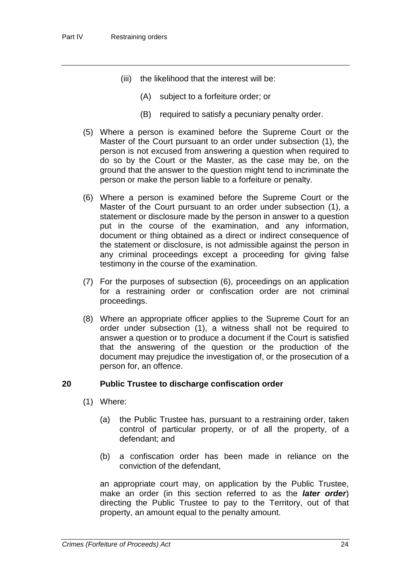- (iii) the likelihood that the interest will be:
	- (A) subject to a forfeiture order; or
	- (B) required to satisfy a pecuniary penalty order.
- (5) Where a person is examined before the Supreme Court or the Master of the Court pursuant to an order under subsection (1), the person is not excused from answering a question when required to do so by the Court or the Master, as the case may be, on the ground that the answer to the question might tend to incriminate the person or make the person liable to a forfeiture or penalty.
- (6) Where a person is examined before the Supreme Court or the Master of the Court pursuant to an order under subsection (1), a statement or disclosure made by the person in answer to a question put in the course of the examination, and any information, document or thing obtained as a direct or indirect consequence of the statement or disclosure, is not admissible against the person in any criminal proceedings except a proceeding for giving false testimony in the course of the examination.
- (7) For the purposes of subsection (6), proceedings on an application for a restraining order or confiscation order are not criminal proceedings.
- (8) Where an appropriate officer applies to the Supreme Court for an order under subsection (1), a witness shall not be required to answer a question or to produce a document if the Court is satisfied that the answering of the question or the production of the document may prejudice the investigation of, or the prosecution of a person for, an offence.

#### **20 Public Trustee to discharge confiscation order**

- (1) Where:
	- (a) the Public Trustee has, pursuant to a restraining order, taken control of particular property, or of all the property, of a defendant; and
	- (b) a confiscation order has been made in reliance on the conviction of the defendant,

an appropriate court may, on application by the Public Trustee, make an order (in this section referred to as the *later order*) directing the Public Trustee to pay to the Territory, out of that property, an amount equal to the penalty amount.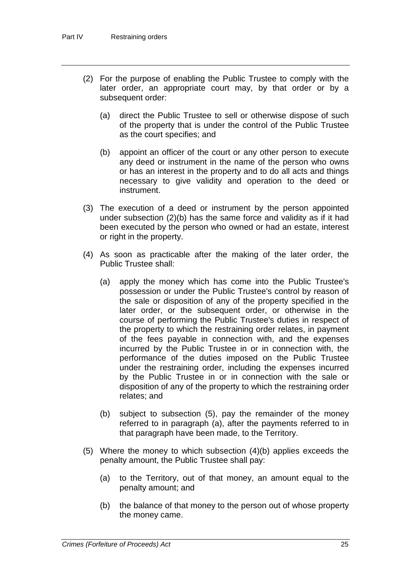- (2) For the purpose of enabling the Public Trustee to comply with the later order, an appropriate court may, by that order or by a subsequent order:
	- (a) direct the Public Trustee to sell or otherwise dispose of such of the property that is under the control of the Public Trustee as the court specifies; and
	- (b) appoint an officer of the court or any other person to execute any deed or instrument in the name of the person who owns or has an interest in the property and to do all acts and things necessary to give validity and operation to the deed or instrument.
- (3) The execution of a deed or instrument by the person appointed under subsection (2)(b) has the same force and validity as if it had been executed by the person who owned or had an estate, interest or right in the property.
- (4) As soon as practicable after the making of the later order, the Public Trustee shall:
	- (a) apply the money which has come into the Public Trustee's possession or under the Public Trustee's control by reason of the sale or disposition of any of the property specified in the later order, or the subsequent order, or otherwise in the course of performing the Public Trustee's duties in respect of the property to which the restraining order relates, in payment of the fees payable in connection with, and the expenses incurred by the Public Trustee in or in connection with, the performance of the duties imposed on the Public Trustee under the restraining order, including the expenses incurred by the Public Trustee in or in connection with the sale or disposition of any of the property to which the restraining order relates; and
	- (b) subject to subsection (5), pay the remainder of the money referred to in paragraph (a), after the payments referred to in that paragraph have been made, to the Territory.
- (5) Where the money to which subsection (4)(b) applies exceeds the penalty amount, the Public Trustee shall pay:
	- (a) to the Territory, out of that money, an amount equal to the penalty amount; and
	- (b) the balance of that money to the person out of whose property the money came.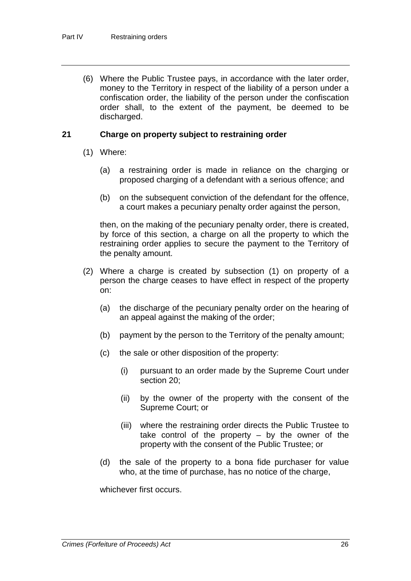(6) Where the Public Trustee pays, in accordance with the later order, money to the Territory in respect of the liability of a person under a confiscation order, the liability of the person under the confiscation order shall, to the extent of the payment, be deemed to be discharged.

#### **21 Charge on property subject to restraining order**

- (1) Where:
	- (a) a restraining order is made in reliance on the charging or proposed charging of a defendant with a serious offence; and
	- (b) on the subsequent conviction of the defendant for the offence, a court makes a pecuniary penalty order against the person,

then, on the making of the pecuniary penalty order, there is created, by force of this section, a charge on all the property to which the restraining order applies to secure the payment to the Territory of the penalty amount.

- (2) Where a charge is created by subsection (1) on property of a person the charge ceases to have effect in respect of the property on:
	- (a) the discharge of the pecuniary penalty order on the hearing of an appeal against the making of the order;
	- (b) payment by the person to the Territory of the penalty amount;
	- (c) the sale or other disposition of the property:
		- (i) pursuant to an order made by the Supreme Court under section 20;
		- (ii) by the owner of the property with the consent of the Supreme Court; or
		- (iii) where the restraining order directs the Public Trustee to take control of the property  $-$  by the owner of the property with the consent of the Public Trustee; or
	- (d) the sale of the property to a bona fide purchaser for value who, at the time of purchase, has no notice of the charge,

whichever first occurs.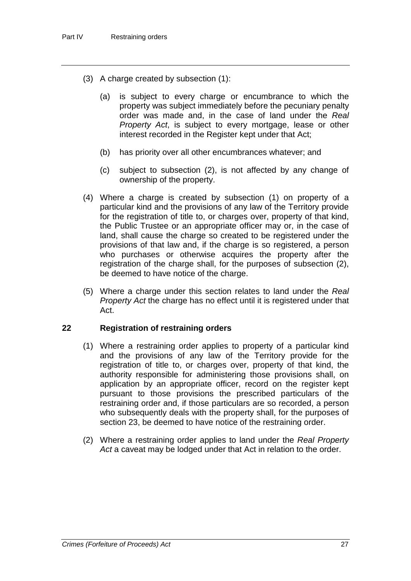- (3) A charge created by subsection (1):
	- (a) is subject to every charge or encumbrance to which the property was subject immediately before the pecuniary penalty order was made and, in the case of land under the *Real Property Act*, is subject to every mortgage, lease or other interest recorded in the Register kept under that Act;
	- (b) has priority over all other encumbrances whatever; and
	- (c) subject to subsection (2), is not affected by any change of ownership of the property.
- (4) Where a charge is created by subsection (1) on property of a particular kind and the provisions of any law of the Territory provide for the registration of title to, or charges over, property of that kind, the Public Trustee or an appropriate officer may or, in the case of land, shall cause the charge so created to be registered under the provisions of that law and, if the charge is so registered, a person who purchases or otherwise acquires the property after the registration of the charge shall, for the purposes of subsection (2), be deemed to have notice of the charge.
- (5) Where a charge under this section relates to land under the *Real Property Act* the charge has no effect until it is registered under that Act.

#### **22 Registration of restraining orders**

- (1) Where a restraining order applies to property of a particular kind and the provisions of any law of the Territory provide for the registration of title to, or charges over, property of that kind, the authority responsible for administering those provisions shall, on application by an appropriate officer, record on the register kept pursuant to those provisions the prescribed particulars of the restraining order and, if those particulars are so recorded, a person who subsequently deals with the property shall, for the purposes of section 23, be deemed to have notice of the restraining order.
- (2) Where a restraining order applies to land under the *Real Property Act* a caveat may be lodged under that Act in relation to the order.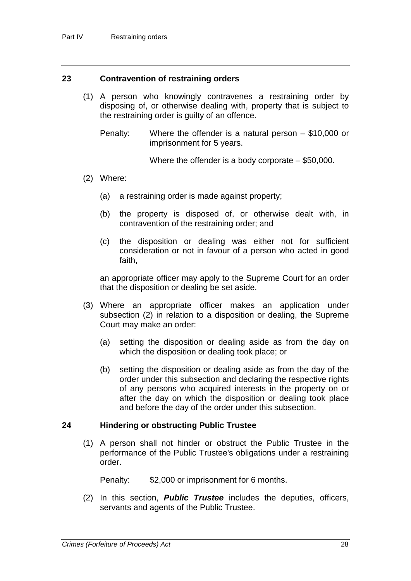#### **23 Contravention of restraining orders**

- (1) A person who knowingly contravenes a restraining order by disposing of, or otherwise dealing with, property that is subject to the restraining order is guilty of an offence.
	- Penalty: Where the offender is a natural person \$10,000 or imprisonment for 5 years.

Where the offender is a body corporate – \$50,000.

- (2) Where:
	- (a) a restraining order is made against property;
	- (b) the property is disposed of, or otherwise dealt with, in contravention of the restraining order; and
	- (c) the disposition or dealing was either not for sufficient consideration or not in favour of a person who acted in good faith,

an appropriate officer may apply to the Supreme Court for an order that the disposition or dealing be set aside.

- (3) Where an appropriate officer makes an application under subsection (2) in relation to a disposition or dealing, the Supreme Court may make an order:
	- (a) setting the disposition or dealing aside as from the day on which the disposition or dealing took place; or
	- (b) setting the disposition or dealing aside as from the day of the order under this subsection and declaring the respective rights of any persons who acquired interests in the property on or after the day on which the disposition or dealing took place and before the day of the order under this subsection.

#### **24 Hindering or obstructing Public Trustee**

(1) A person shall not hinder or obstruct the Public Trustee in the performance of the Public Trustee's obligations under a restraining order.

Penalty: \$2,000 or imprisonment for 6 months.

(2) In this section, *Public Trustee* includes the deputies, officers, servants and agents of the Public Trustee.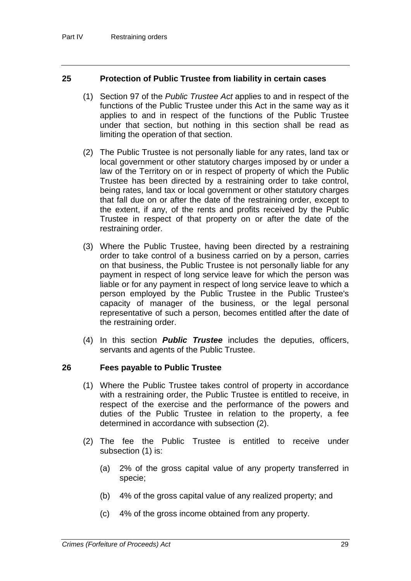#### **25 Protection of Public Trustee from liability in certain cases**

- (1) Section 97 of the *Public Trustee Act* applies to and in respect of the functions of the Public Trustee under this Act in the same way as it applies to and in respect of the functions of the Public Trustee under that section, but nothing in this section shall be read as limiting the operation of that section.
- (2) The Public Trustee is not personally liable for any rates, land tax or local government or other statutory charges imposed by or under a law of the Territory on or in respect of property of which the Public Trustee has been directed by a restraining order to take control, being rates, land tax or local government or other statutory charges that fall due on or after the date of the restraining order, except to the extent, if any, of the rents and profits received by the Public Trustee in respect of that property on or after the date of the restraining order.
- (3) Where the Public Trustee, having been directed by a restraining order to take control of a business carried on by a person, carries on that business, the Public Trustee is not personally liable for any payment in respect of long service leave for which the person was liable or for any payment in respect of long service leave to which a person employed by the Public Trustee in the Public Trustee's capacity of manager of the business, or the legal personal representative of such a person, becomes entitled after the date of the restraining order.
- (4) In this section *Public Trustee* includes the deputies, officers, servants and agents of the Public Trustee.

#### **26 Fees payable to Public Trustee**

- (1) Where the Public Trustee takes control of property in accordance with a restraining order, the Public Trustee is entitled to receive, in respect of the exercise and the performance of the powers and duties of the Public Trustee in relation to the property, a fee determined in accordance with subsection (2).
- (2) The fee the Public Trustee is entitled to receive under subsection (1) is:
	- (a) 2% of the gross capital value of any property transferred in specie;
	- (b) 4% of the gross capital value of any realized property; and
	- (c) 4% of the gross income obtained from any property.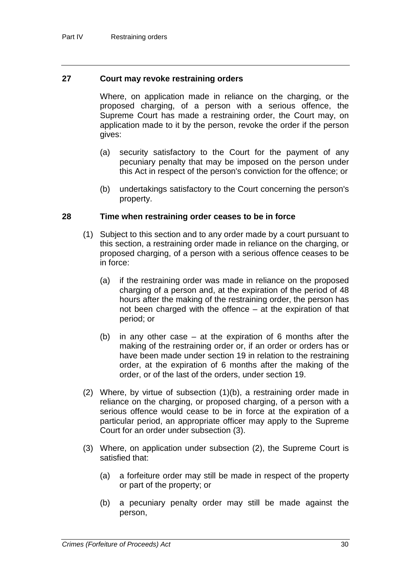#### **27 Court may revoke restraining orders**

Where, on application made in reliance on the charging, or the proposed charging, of a person with a serious offence, the Supreme Court has made a restraining order, the Court may, on application made to it by the person, revoke the order if the person gives:

- (a) security satisfactory to the Court for the payment of any pecuniary penalty that may be imposed on the person under this Act in respect of the person's conviction for the offence; or
- (b) undertakings satisfactory to the Court concerning the person's property.

#### **28 Time when restraining order ceases to be in force**

- (1) Subject to this section and to any order made by a court pursuant to this section, a restraining order made in reliance on the charging, or proposed charging, of a person with a serious offence ceases to be in force:
	- (a) if the restraining order was made in reliance on the proposed charging of a person and, at the expiration of the period of 48 hours after the making of the restraining order, the person has not been charged with the offence – at the expiration of that period; or
	- (b) in any other case  $-$  at the expiration of 6 months after the making of the restraining order or, if an order or orders has or have been made under section 19 in relation to the restraining order, at the expiration of 6 months after the making of the order, or of the last of the orders, under section 19.
- (2) Where, by virtue of subsection (1)(b), a restraining order made in reliance on the charging, or proposed charging, of a person with a serious offence would cease to be in force at the expiration of a particular period, an appropriate officer may apply to the Supreme Court for an order under subsection (3).
- (3) Where, on application under subsection (2), the Supreme Court is satisfied that:
	- (a) a forfeiture order may still be made in respect of the property or part of the property; or
	- (b) a pecuniary penalty order may still be made against the person,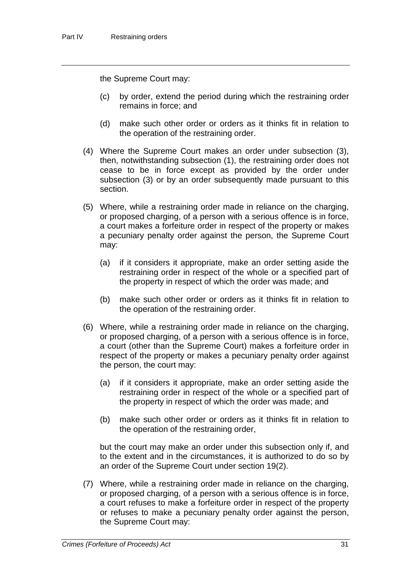the Supreme Court may:

- (c) by order, extend the period during which the restraining order remains in force; and
- (d) make such other order or orders as it thinks fit in relation to the operation of the restraining order.
- (4) Where the Supreme Court makes an order under subsection (3), then, notwithstanding subsection (1), the restraining order does not cease to be in force except as provided by the order under subsection (3) or by an order subsequently made pursuant to this section.
- (5) Where, while a restraining order made in reliance on the charging, or proposed charging, of a person with a serious offence is in force, a court makes a forfeiture order in respect of the property or makes a pecuniary penalty order against the person, the Supreme Court may:
	- (a) if it considers it appropriate, make an order setting aside the restraining order in respect of the whole or a specified part of the property in respect of which the order was made; and
	- (b) make such other order or orders as it thinks fit in relation to the operation of the restraining order.
- (6) Where, while a restraining order made in reliance on the charging, or proposed charging, of a person with a serious offence is in force, a court (other than the Supreme Court) makes a forfeiture order in respect of the property or makes a pecuniary penalty order against the person, the court may:
	- (a) if it considers it appropriate, make an order setting aside the restraining order in respect of the whole or a specified part of the property in respect of which the order was made; and
	- (b) make such other order or orders as it thinks fit in relation to the operation of the restraining order,

but the court may make an order under this subsection only if, and to the extent and in the circumstances, it is authorized to do so by an order of the Supreme Court under section 19(2).

(7) Where, while a restraining order made in reliance on the charging, or proposed charging, of a person with a serious offence is in force, a court refuses to make a forfeiture order in respect of the property or refuses to make a pecuniary penalty order against the person, the Supreme Court may: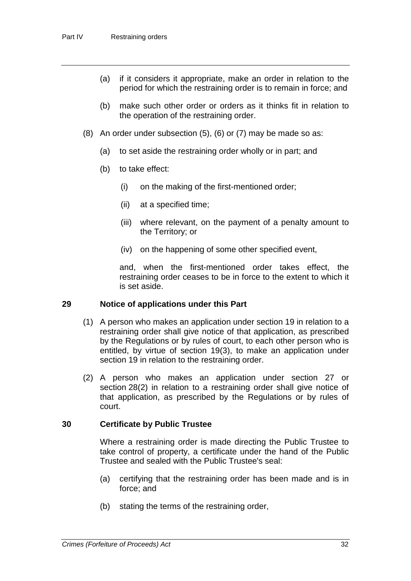- (a) if it considers it appropriate, make an order in relation to the period for which the restraining order is to remain in force; and
- (b) make such other order or orders as it thinks fit in relation to the operation of the restraining order.
- (8) An order under subsection (5), (6) or (7) may be made so as:
	- (a) to set aside the restraining order wholly or in part; and
	- (b) to take effect:
		- (i) on the making of the first-mentioned order;
		- (ii) at a specified time;
		- (iii) where relevant, on the payment of a penalty amount to the Territory; or
		- (iv) on the happening of some other specified event,

and, when the first-mentioned order takes effect, the restraining order ceases to be in force to the extent to which it is set aside.

#### **29 Notice of applications under this Part**

- (1) A person who makes an application under section 19 in relation to a restraining order shall give notice of that application, as prescribed by the Regulations or by rules of court, to each other person who is entitled, by virtue of section 19(3), to make an application under section 19 in relation to the restraining order.
- (2) A person who makes an application under section 27 or section 28(2) in relation to a restraining order shall give notice of that application, as prescribed by the Regulations or by rules of court.

#### **30 Certificate by Public Trustee**

Where a restraining order is made directing the Public Trustee to take control of property, a certificate under the hand of the Public Trustee and sealed with the Public Trustee's seal:

- (a) certifying that the restraining order has been made and is in force; and
- (b) stating the terms of the restraining order,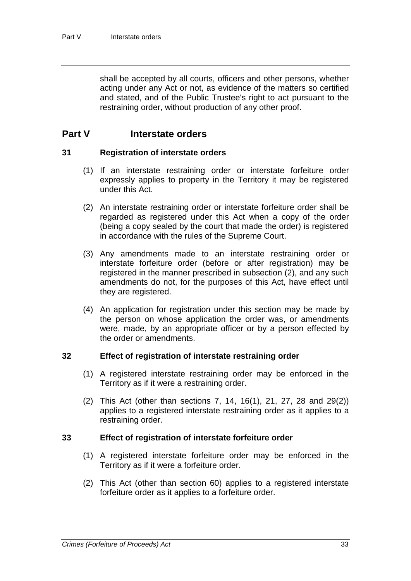shall be accepted by all courts, officers and other persons, whether acting under any Act or not, as evidence of the matters so certified and stated, and of the Public Trustee's right to act pursuant to the restraining order, without production of any other proof.

## **Part V Interstate orders**

#### **31 Registration of interstate orders**

- (1) If an interstate restraining order or interstate forfeiture order expressly applies to property in the Territory it may be registered under this Act.
- (2) An interstate restraining order or interstate forfeiture order shall be regarded as registered under this Act when a copy of the order (being a copy sealed by the court that made the order) is registered in accordance with the rules of the Supreme Court.
- (3) Any amendments made to an interstate restraining order or interstate forfeiture order (before or after registration) may be registered in the manner prescribed in subsection (2), and any such amendments do not, for the purposes of this Act, have effect until they are registered.
- (4) An application for registration under this section may be made by the person on whose application the order was, or amendments were, made, by an appropriate officer or by a person effected by the order or amendments.

#### **32 Effect of registration of interstate restraining order**

- (1) A registered interstate restraining order may be enforced in the Territory as if it were a restraining order.
- (2) This Act (other than sections 7, 14, 16(1), 21, 27, 28 and 29(2)) applies to a registered interstate restraining order as it applies to a restraining order.

#### **33 Effect of registration of interstate forfeiture order**

- (1) A registered interstate forfeiture order may be enforced in the Territory as if it were a forfeiture order.
- (2) This Act (other than section 60) applies to a registered interstate forfeiture order as it applies to a forfeiture order.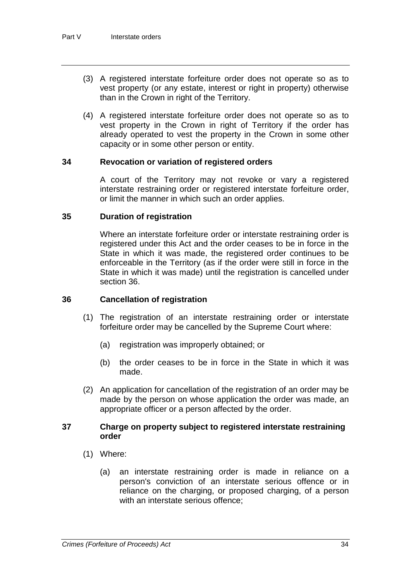- (3) A registered interstate forfeiture order does not operate so as to vest property (or any estate, interest or right in property) otherwise than in the Crown in right of the Territory.
- (4) A registered interstate forfeiture order does not operate so as to vest property in the Crown in right of Territory if the order has already operated to vest the property in the Crown in some other capacity or in some other person or entity.

#### **34 Revocation or variation of registered orders**

A court of the Territory may not revoke or vary a registered interstate restraining order or registered interstate forfeiture order, or limit the manner in which such an order applies.

#### **35 Duration of registration**

Where an interstate forfeiture order or interstate restraining order is registered under this Act and the order ceases to be in force in the State in which it was made, the registered order continues to be enforceable in the Territory (as if the order were still in force in the State in which it was made) until the registration is cancelled under section 36.

#### **36 Cancellation of registration**

- (1) The registration of an interstate restraining order or interstate forfeiture order may be cancelled by the Supreme Court where:
	- (a) registration was improperly obtained; or
	- (b) the order ceases to be in force in the State in which it was made.
- (2) An application for cancellation of the registration of an order may be made by the person on whose application the order was made, an appropriate officer or a person affected by the order.

#### **37 Charge on property subject to registered interstate restraining order**

- (1) Where:
	- (a) an interstate restraining order is made in reliance on a person's conviction of an interstate serious offence or in reliance on the charging, or proposed charging, of a person with an interstate serious offence;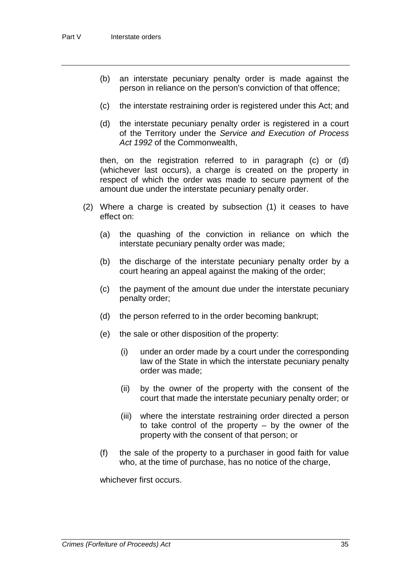- (b) an interstate pecuniary penalty order is made against the person in reliance on the person's conviction of that offence;
- (c) the interstate restraining order is registered under this Act; and
- (d) the interstate pecuniary penalty order is registered in a court of the Territory under the *Service and Execution of Process Act 1992* of the Commonwealth,

then, on the registration referred to in paragraph (c) or (d) (whichever last occurs), a charge is created on the property in respect of which the order was made to secure payment of the amount due under the interstate pecuniary penalty order.

- (2) Where a charge is created by subsection (1) it ceases to have effect on:
	- (a) the quashing of the conviction in reliance on which the interstate pecuniary penalty order was made;
	- (b) the discharge of the interstate pecuniary penalty order by a court hearing an appeal against the making of the order;
	- (c) the payment of the amount due under the interstate pecuniary penalty order;
	- (d) the person referred to in the order becoming bankrupt;
	- (e) the sale or other disposition of the property:
		- (i) under an order made by a court under the corresponding law of the State in which the interstate pecuniary penalty order was made;
		- (ii) by the owner of the property with the consent of the court that made the interstate pecuniary penalty order; or
		- (iii) where the interstate restraining order directed a person to take control of the property – by the owner of the property with the consent of that person; or
	- (f) the sale of the property to a purchaser in good faith for value who, at the time of purchase, has no notice of the charge,

whichever first occurs.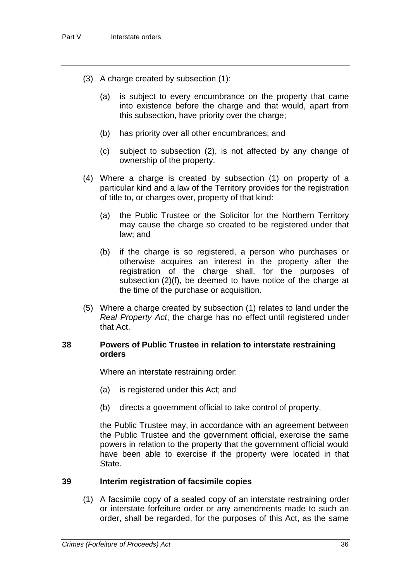- (3) A charge created by subsection (1):
	- (a) is subject to every encumbrance on the property that came into existence before the charge and that would, apart from this subsection, have priority over the charge;
	- (b) has priority over all other encumbrances; and
	- (c) subject to subsection (2), is not affected by any change of ownership of the property.
- (4) Where a charge is created by subsection (1) on property of a particular kind and a law of the Territory provides for the registration of title to, or charges over, property of that kind:
	- (a) the Public Trustee or the Solicitor for the Northern Territory may cause the charge so created to be registered under that law; and
	- (b) if the charge is so registered, a person who purchases or otherwise acquires an interest in the property after the registration of the charge shall, for the purposes of subsection (2)(f), be deemed to have notice of the charge at the time of the purchase or acquisition.
- (5) Where a charge created by subsection (1) relates to land under the *Real Property Act*, the charge has no effect until registered under that Act.

#### **38 Powers of Public Trustee in relation to interstate restraining orders**

Where an interstate restraining order:

- (a) is registered under this Act; and
- (b) directs a government official to take control of property,

the Public Trustee may, in accordance with an agreement between the Public Trustee and the government official, exercise the same powers in relation to the property that the government official would have been able to exercise if the property were located in that State.

#### **39 Interim registration of facsimile copies**

(1) A facsimile copy of a sealed copy of an interstate restraining order or interstate forfeiture order or any amendments made to such an order, shall be regarded, for the purposes of this Act, as the same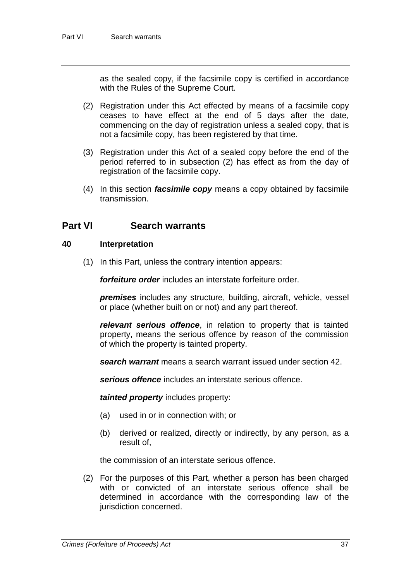as the sealed copy, if the facsimile copy is certified in accordance with the Rules of the Supreme Court.

- (2) Registration under this Act effected by means of a facsimile copy ceases to have effect at the end of 5 days after the date, commencing on the day of registration unless a sealed copy, that is not a facsimile copy, has been registered by that time.
- (3) Registration under this Act of a sealed copy before the end of the period referred to in subsection (2) has effect as from the day of registration of the facsimile copy.
- (4) In this section *facsimile copy* means a copy obtained by facsimile transmission.

## **Part VI Search warrants**

#### **40 Interpretation**

(1) In this Part, unless the contrary intention appears:

*forfeiture order* includes an interstate forfeiture order.

*premises* includes any structure, building, aircraft, vehicle, vessel or place (whether built on or not) and any part thereof.

*relevant serious offence*, in relation to property that is tainted property, means the serious offence by reason of the commission of which the property is tainted property.

*search warrant* means a search warrant issued under section 42.

*serious offence* includes an interstate serious offence.

*tainted property* includes property:

- (a) used in or in connection with; or
- (b) derived or realized, directly or indirectly, by any person, as a result of,

the commission of an interstate serious offence.

(2) For the purposes of this Part, whether a person has been charged with or convicted of an interstate serious offence shall be determined in accordance with the corresponding law of the jurisdiction concerned.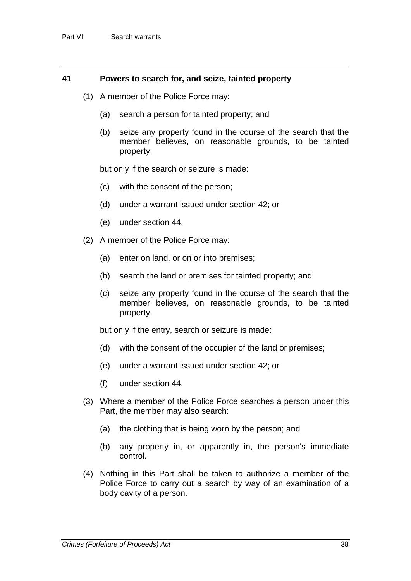#### **41 Powers to search for, and seize, tainted property**

- (1) A member of the Police Force may:
	- (a) search a person for tainted property; and
	- (b) seize any property found in the course of the search that the member believes, on reasonable grounds, to be tainted property,

but only if the search or seizure is made:

- (c) with the consent of the person;
- (d) under a warrant issued under section 42; or
- (e) under section 44.
- (2) A member of the Police Force may:
	- (a) enter on land, or on or into premises;
	- (b) search the land or premises for tainted property; and
	- (c) seize any property found in the course of the search that the member believes, on reasonable grounds, to be tainted property,

but only if the entry, search or seizure is made:

- (d) with the consent of the occupier of the land or premises;
- (e) under a warrant issued under section 42; or
- (f) under section 44.
- (3) Where a member of the Police Force searches a person under this Part, the member may also search:
	- (a) the clothing that is being worn by the person; and
	- (b) any property in, or apparently in, the person's immediate control.
- (4) Nothing in this Part shall be taken to authorize a member of the Police Force to carry out a search by way of an examination of a body cavity of a person.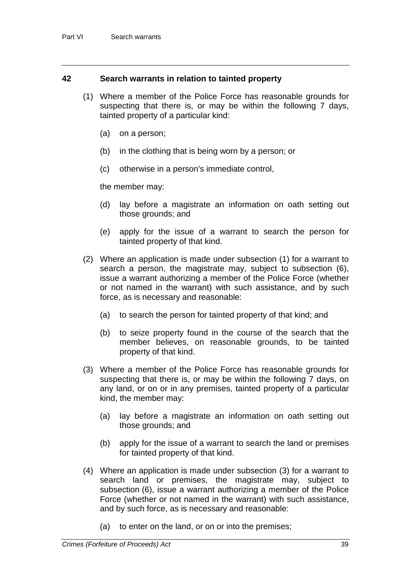#### **42 Search warrants in relation to tainted property**

- (1) Where a member of the Police Force has reasonable grounds for suspecting that there is, or may be within the following 7 days, tainted property of a particular kind:
	- (a) on a person;
	- (b) in the clothing that is being worn by a person; or
	- (c) otherwise in a person's immediate control,

the member may:

- (d) lay before a magistrate an information on oath setting out those grounds; and
- (e) apply for the issue of a warrant to search the person for tainted property of that kind.
- (2) Where an application is made under subsection (1) for a warrant to search a person, the magistrate may, subject to subsection (6), issue a warrant authorizing a member of the Police Force (whether or not named in the warrant) with such assistance, and by such force, as is necessary and reasonable:
	- (a) to search the person for tainted property of that kind; and
	- (b) to seize property found in the course of the search that the member believes, on reasonable grounds, to be tainted property of that kind.
- (3) Where a member of the Police Force has reasonable grounds for suspecting that there is, or may be within the following 7 days, on any land, or on or in any premises, tainted property of a particular kind, the member may:
	- (a) lay before a magistrate an information on oath setting out those grounds; and
	- (b) apply for the issue of a warrant to search the land or premises for tainted property of that kind.
- (4) Where an application is made under subsection (3) for a warrant to search land or premises, the magistrate may, subject to subsection (6), issue a warrant authorizing a member of the Police Force (whether or not named in the warrant) with such assistance, and by such force, as is necessary and reasonable:
	- (a) to enter on the land, or on or into the premises;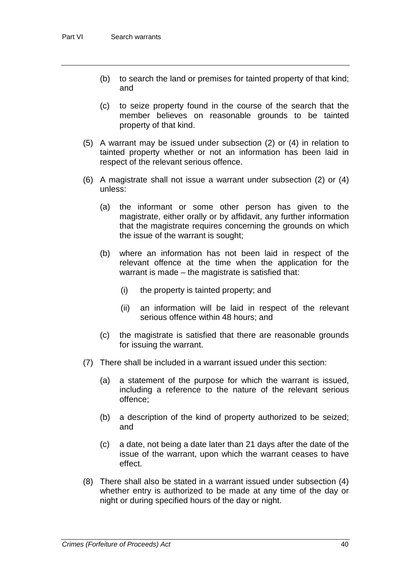- (b) to search the land or premises for tainted property of that kind; and
- (c) to seize property found in the course of the search that the member believes on reasonable grounds to be tainted property of that kind.
- (5) A warrant may be issued under subsection (2) or (4) in relation to tainted property whether or not an information has been laid in respect of the relevant serious offence.
- (6) A magistrate shall not issue a warrant under subsection (2) or (4) unless:
	- (a) the informant or some other person has given to the magistrate, either orally or by affidavit, any further information that the magistrate requires concerning the grounds on which the issue of the warrant is sought;
	- (b) where an information has not been laid in respect of the relevant offence at the time when the application for the warrant is made – the magistrate is satisfied that:
		- (i) the property is tainted property; and
		- (ii) an information will be laid in respect of the relevant serious offence within 48 hours; and
	- (c) the magistrate is satisfied that there are reasonable grounds for issuing the warrant.
- (7) There shall be included in a warrant issued under this section:
	- (a) a statement of the purpose for which the warrant is issued, including a reference to the nature of the relevant serious offence;
	- (b) a description of the kind of property authorized to be seized; and
	- (c) a date, not being a date later than 21 days after the date of the issue of the warrant, upon which the warrant ceases to have effect.
- (8) There shall also be stated in a warrant issued under subsection (4) whether entry is authorized to be made at any time of the day or night or during specified hours of the day or night.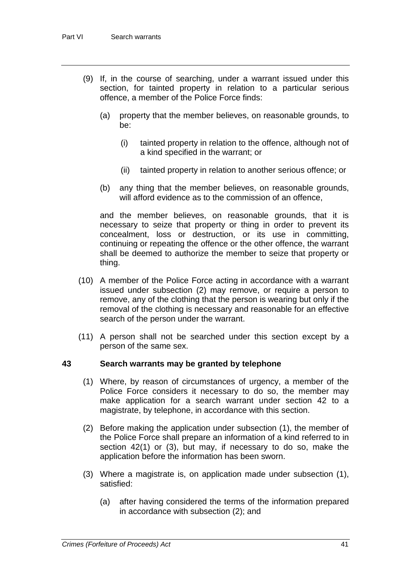- (9) If, in the course of searching, under a warrant issued under this section, for tainted property in relation to a particular serious offence, a member of the Police Force finds:
	- (a) property that the member believes, on reasonable grounds, to be:
		- (i) tainted property in relation to the offence, although not of a kind specified in the warrant; or
		- (ii) tainted property in relation to another serious offence; or
	- (b) any thing that the member believes, on reasonable grounds, will afford evidence as to the commission of an offence.

and the member believes, on reasonable grounds, that it is necessary to seize that property or thing in order to prevent its concealment, loss or destruction, or its use in committing, continuing or repeating the offence or the other offence, the warrant shall be deemed to authorize the member to seize that property or thing.

- (10) A member of the Police Force acting in accordance with a warrant issued under subsection (2) may remove, or require a person to remove, any of the clothing that the person is wearing but only if the removal of the clothing is necessary and reasonable for an effective search of the person under the warrant.
- (11) A person shall not be searched under this section except by a person of the same sex.

#### **43 Search warrants may be granted by telephone**

- (1) Where, by reason of circumstances of urgency, a member of the Police Force considers it necessary to do so, the member may make application for a search warrant under section 42 to a magistrate, by telephone, in accordance with this section.
- (2) Before making the application under subsection (1), the member of the Police Force shall prepare an information of a kind referred to in section 42(1) or (3), but may, if necessary to do so, make the application before the information has been sworn.
- (3) Where a magistrate is, on application made under subsection (1), satisfied:
	- (a) after having considered the terms of the information prepared in accordance with subsection (2); and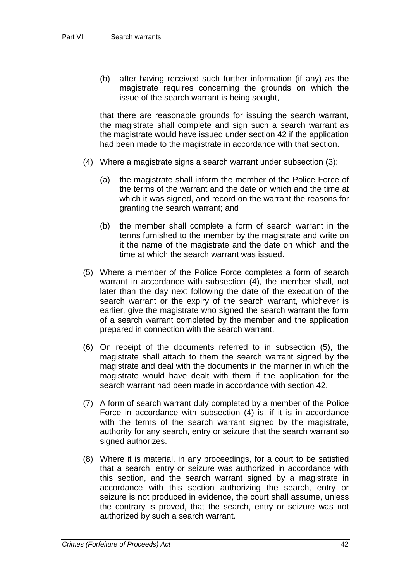(b) after having received such further information (if any) as the magistrate requires concerning the grounds on which the issue of the search warrant is being sought,

that there are reasonable grounds for issuing the search warrant, the magistrate shall complete and sign such a search warrant as the magistrate would have issued under section 42 if the application had been made to the magistrate in accordance with that section.

- (4) Where a magistrate signs a search warrant under subsection (3):
	- (a) the magistrate shall inform the member of the Police Force of the terms of the warrant and the date on which and the time at which it was signed, and record on the warrant the reasons for granting the search warrant; and
	- (b) the member shall complete a form of search warrant in the terms furnished to the member by the magistrate and write on it the name of the magistrate and the date on which and the time at which the search warrant was issued.
- (5) Where a member of the Police Force completes a form of search warrant in accordance with subsection (4), the member shall, not later than the day next following the date of the execution of the search warrant or the expiry of the search warrant, whichever is earlier, give the magistrate who signed the search warrant the form of a search warrant completed by the member and the application prepared in connection with the search warrant.
- (6) On receipt of the documents referred to in subsection (5), the magistrate shall attach to them the search warrant signed by the magistrate and deal with the documents in the manner in which the magistrate would have dealt with them if the application for the search warrant had been made in accordance with section 42.
- (7) A form of search warrant duly completed by a member of the Police Force in accordance with subsection (4) is, if it is in accordance with the terms of the search warrant signed by the magistrate, authority for any search, entry or seizure that the search warrant so signed authorizes.
- (8) Where it is material, in any proceedings, for a court to be satisfied that a search, entry or seizure was authorized in accordance with this section, and the search warrant signed by a magistrate in accordance with this section authorizing the search, entry or seizure is not produced in evidence, the court shall assume, unless the contrary is proved, that the search, entry or seizure was not authorized by such a search warrant.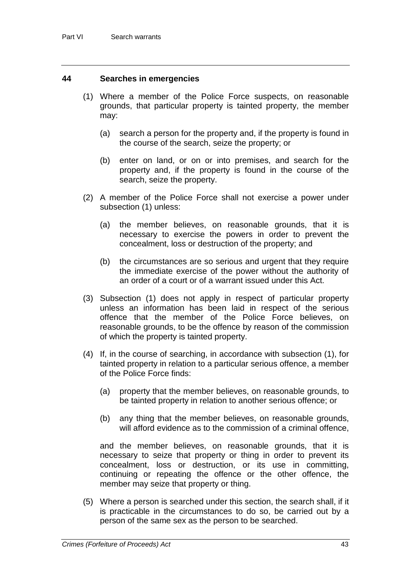#### **44 Searches in emergencies**

- (1) Where a member of the Police Force suspects, on reasonable grounds, that particular property is tainted property, the member may:
	- (a) search a person for the property and, if the property is found in the course of the search, seize the property; or
	- (b) enter on land, or on or into premises, and search for the property and, if the property is found in the course of the search, seize the property.
- (2) A member of the Police Force shall not exercise a power under subsection (1) unless:
	- (a) the member believes, on reasonable grounds, that it is necessary to exercise the powers in order to prevent the concealment, loss or destruction of the property; and
	- (b) the circumstances are so serious and urgent that they require the immediate exercise of the power without the authority of an order of a court or of a warrant issued under this Act.
- (3) Subsection (1) does not apply in respect of particular property unless an information has been laid in respect of the serious offence that the member of the Police Force believes, on reasonable grounds, to be the offence by reason of the commission of which the property is tainted property.
- (4) If, in the course of searching, in accordance with subsection (1), for tainted property in relation to a particular serious offence, a member of the Police Force finds:
	- (a) property that the member believes, on reasonable grounds, to be tainted property in relation to another serious offence; or
	- (b) any thing that the member believes, on reasonable grounds, will afford evidence as to the commission of a criminal offence,

and the member believes, on reasonable grounds, that it is necessary to seize that property or thing in order to prevent its concealment, loss or destruction, or its use in committing, continuing or repeating the offence or the other offence, the member may seize that property or thing.

(5) Where a person is searched under this section, the search shall, if it is practicable in the circumstances to do so, be carried out by a person of the same sex as the person to be searched.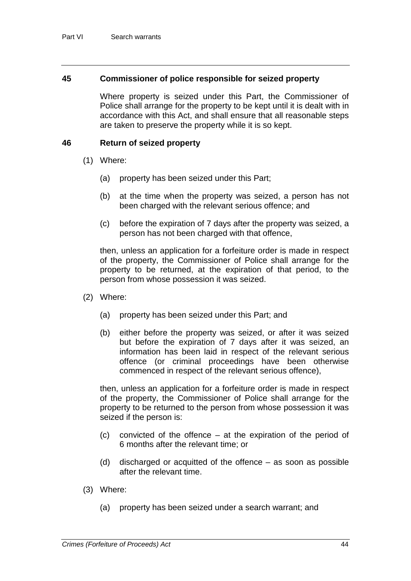#### **45 Commissioner of police responsible for seized property**

Where property is seized under this Part, the Commissioner of Police shall arrange for the property to be kept until it is dealt with in accordance with this Act, and shall ensure that all reasonable steps are taken to preserve the property while it is so kept.

#### **46 Return of seized property**

- (1) Where:
	- (a) property has been seized under this Part;
	- (b) at the time when the property was seized, a person has not been charged with the relevant serious offence; and
	- (c) before the expiration of 7 days after the property was seized, a person has not been charged with that offence,

then, unless an application for a forfeiture order is made in respect of the property, the Commissioner of Police shall arrange for the property to be returned, at the expiration of that period, to the person from whose possession it was seized.

- (2) Where:
	- (a) property has been seized under this Part; and
	- (b) either before the property was seized, or after it was seized but before the expiration of 7 days after it was seized, an information has been laid in respect of the relevant serious offence (or criminal proceedings have been otherwise commenced in respect of the relevant serious offence),

then, unless an application for a forfeiture order is made in respect of the property, the Commissioner of Police shall arrange for the property to be returned to the person from whose possession it was seized if the person is:

- (c) convicted of the offence at the expiration of the period of 6 months after the relevant time; or
- (d) discharged or acquitted of the offence as soon as possible after the relevant time.
- (3) Where:
	- (a) property has been seized under a search warrant; and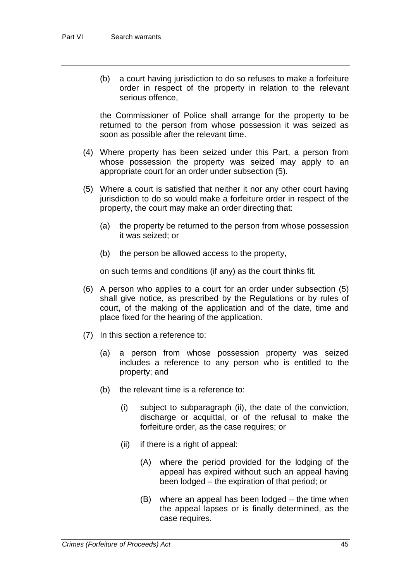(b) a court having jurisdiction to do so refuses to make a forfeiture order in respect of the property in relation to the relevant serious offence,

the Commissioner of Police shall arrange for the property to be returned to the person from whose possession it was seized as soon as possible after the relevant time.

- (4) Where property has been seized under this Part, a person from whose possession the property was seized may apply to an appropriate court for an order under subsection (5).
- (5) Where a court is satisfied that neither it nor any other court having jurisdiction to do so would make a forfeiture order in respect of the property, the court may make an order directing that:
	- (a) the property be returned to the person from whose possession it was seized; or
	- (b) the person be allowed access to the property,

on such terms and conditions (if any) as the court thinks fit.

- (6) A person who applies to a court for an order under subsection (5) shall give notice, as prescribed by the Regulations or by rules of court, of the making of the application and of the date, time and place fixed for the hearing of the application.
- (7) In this section a reference to:
	- (a) a person from whose possession property was seized includes a reference to any person who is entitled to the property; and
	- (b) the relevant time is a reference to:
		- (i) subject to subparagraph (ii), the date of the conviction, discharge or acquittal, or of the refusal to make the forfeiture order, as the case requires; or
		- (ii) if there is a right of appeal:
			- (A) where the period provided for the lodging of the appeal has expired without such an appeal having been lodged – the expiration of that period; or
			- (B) where an appeal has been lodged the time when the appeal lapses or is finally determined, as the case requires.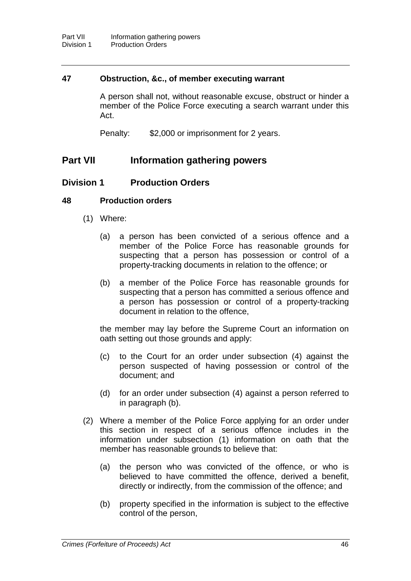### **47 Obstruction, &c., of member executing warrant**

A person shall not, without reasonable excuse, obstruct or hinder a member of the Police Force executing a search warrant under this Act.

Penalty: \$2,000 or imprisonment for 2 years.

## **Part VII Information gathering powers**

### **Division 1 Production Orders**

#### **48 Production orders**

- (1) Where:
	- (a) a person has been convicted of a serious offence and a member of the Police Force has reasonable grounds for suspecting that a person has possession or control of a property-tracking documents in relation to the offence; or
	- (b) a member of the Police Force has reasonable grounds for suspecting that a person has committed a serious offence and a person has possession or control of a property-tracking document in relation to the offence,

the member may lay before the Supreme Court an information on oath setting out those grounds and apply:

- (c) to the Court for an order under subsection (4) against the person suspected of having possession or control of the document; and
- (d) for an order under subsection (4) against a person referred to in paragraph (b).
- (2) Where a member of the Police Force applying for an order under this section in respect of a serious offence includes in the information under subsection (1) information on oath that the member has reasonable grounds to believe that:
	- (a) the person who was convicted of the offence, or who is believed to have committed the offence, derived a benefit, directly or indirectly, from the commission of the offence; and
	- (b) property specified in the information is subject to the effective control of the person,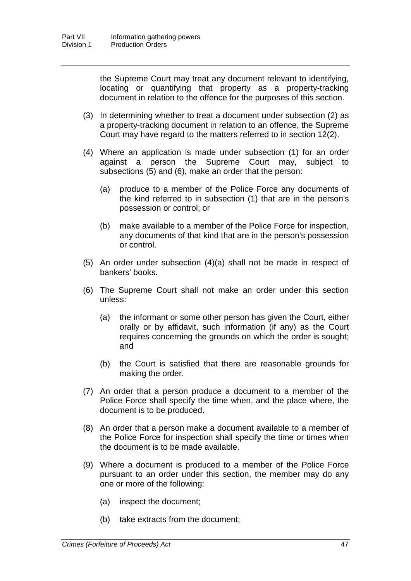the Supreme Court may treat any document relevant to identifying, locating or quantifying that property as a property-tracking document in relation to the offence for the purposes of this section.

- (3) In determining whether to treat a document under subsection (2) as a property-tracking document in relation to an offence, the Supreme Court may have regard to the matters referred to in section 12(2).
- (4) Where an application is made under subsection (1) for an order against a person the Supreme Court may, subject to subsections (5) and (6), make an order that the person:
	- (a) produce to a member of the Police Force any documents of the kind referred to in subsection (1) that are in the person's possession or control; or
	- (b) make available to a member of the Police Force for inspection, any documents of that kind that are in the person's possession or control.
- (5) An order under subsection (4)(a) shall not be made in respect of bankers' books.
- (6) The Supreme Court shall not make an order under this section unless:
	- (a) the informant or some other person has given the Court, either orally or by affidavit, such information (if any) as the Court requires concerning the grounds on which the order is sought; and
	- (b) the Court is satisfied that there are reasonable grounds for making the order.
- (7) An order that a person produce a document to a member of the Police Force shall specify the time when, and the place where, the document is to be produced.
- (8) An order that a person make a document available to a member of the Police Force for inspection shall specify the time or times when the document is to be made available.
- (9) Where a document is produced to a member of the Police Force pursuant to an order under this section, the member may do any one or more of the following:
	- (a) inspect the document;
	- (b) take extracts from the document;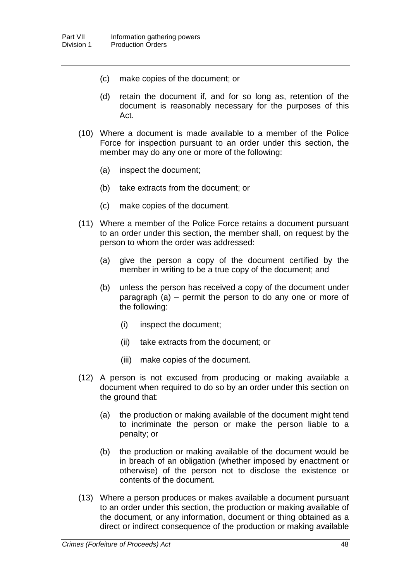- (c) make copies of the document; or
- (d) retain the document if, and for so long as, retention of the document is reasonably necessary for the purposes of this Act.
- (10) Where a document is made available to a member of the Police Force for inspection pursuant to an order under this section, the member may do any one or more of the following:
	- (a) inspect the document;
	- (b) take extracts from the document; or
	- (c) make copies of the document.
- (11) Where a member of the Police Force retains a document pursuant to an order under this section, the member shall, on request by the person to whom the order was addressed:
	- (a) give the person a copy of the document certified by the member in writing to be a true copy of the document; and
	- (b) unless the person has received a copy of the document under paragraph (a) – permit the person to do any one or more of the following:
		- (i) inspect the document;
		- (ii) take extracts from the document; or
		- (iii) make copies of the document.
- (12) A person is not excused from producing or making available a document when required to do so by an order under this section on the ground that:
	- (a) the production or making available of the document might tend to incriminate the person or make the person liable to a penalty; or
	- (b) the production or making available of the document would be in breach of an obligation (whether imposed by enactment or otherwise) of the person not to disclose the existence or contents of the document.
- (13) Where a person produces or makes available a document pursuant to an order under this section, the production or making available of the document, or any information, document or thing obtained as a direct or indirect consequence of the production or making available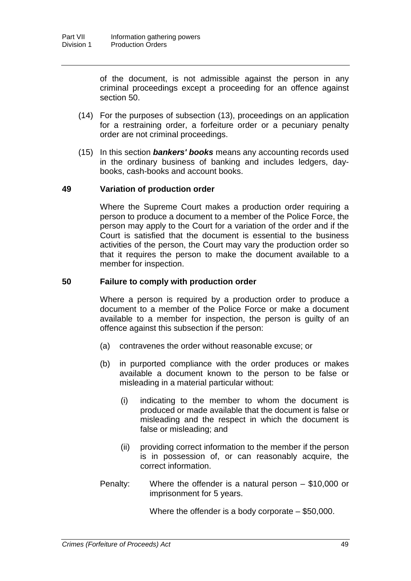of the document, is not admissible against the person in any criminal proceedings except a proceeding for an offence against section 50.

- (14) For the purposes of subsection (13), proceedings on an application for a restraining order, a forfeiture order or a pecuniary penalty order are not criminal proceedings.
- (15) In this section *bankers' books* means any accounting records used in the ordinary business of banking and includes ledgers, daybooks, cash-books and account books.

#### **49 Variation of production order**

Where the Supreme Court makes a production order requiring a person to produce a document to a member of the Police Force, the person may apply to the Court for a variation of the order and if the Court is satisfied that the document is essential to the business activities of the person, the Court may vary the production order so that it requires the person to make the document available to a member for inspection.

#### **50 Failure to comply with production order**

Where a person is required by a production order to produce a document to a member of the Police Force or make a document available to a member for inspection, the person is guilty of an offence against this subsection if the person:

- (a) contravenes the order without reasonable excuse; or
- (b) in purported compliance with the order produces or makes available a document known to the person to be false or misleading in a material particular without:
	- (i) indicating to the member to whom the document is produced or made available that the document is false or misleading and the respect in which the document is false or misleading; and
	- (ii) providing correct information to the member if the person is in possession of, or can reasonably acquire, the correct information.
- Penalty: Where the offender is a natural person \$10,000 or imprisonment for 5 years.

Where the offender is a body corporate – \$50,000.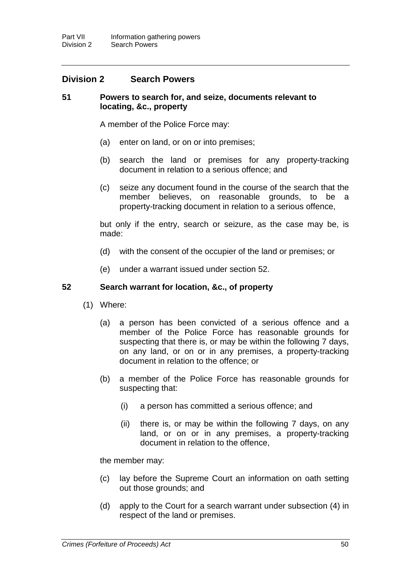### **Division 2 Search Powers**

#### **51 Powers to search for, and seize, documents relevant to locating, &c., property**

A member of the Police Force may:

- (a) enter on land, or on or into premises;
- (b) search the land or premises for any property-tracking document in relation to a serious offence; and
- (c) seize any document found in the course of the search that the member believes, on reasonable grounds, to be a property-tracking document in relation to a serious offence,

but only if the entry, search or seizure, as the case may be, is made:

- (d) with the consent of the occupier of the land or premises; or
- (e) under a warrant issued under section 52.

#### **52 Search warrant for location, &c., of property**

- (1) Where:
	- (a) a person has been convicted of a serious offence and a member of the Police Force has reasonable grounds for suspecting that there is, or may be within the following 7 days, on any land, or on or in any premises, a property-tracking document in relation to the offence; or
	- (b) a member of the Police Force has reasonable grounds for suspecting that:
		- (i) a person has committed a serious offence; and
		- (ii) there is, or may be within the following 7 days, on any land, or on or in any premises, a property-tracking document in relation to the offence,

the member may:

- (c) lay before the Supreme Court an information on oath setting out those grounds; and
- (d) apply to the Court for a search warrant under subsection (4) in respect of the land or premises.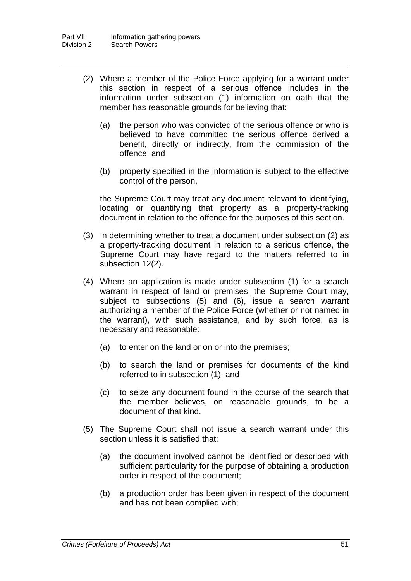- (2) Where a member of the Police Force applying for a warrant under this section in respect of a serious offence includes in the information under subsection (1) information on oath that the member has reasonable grounds for believing that:
	- (a) the person who was convicted of the serious offence or who is believed to have committed the serious offence derived a benefit, directly or indirectly, from the commission of the offence; and
	- (b) property specified in the information is subject to the effective control of the person,

the Supreme Court may treat any document relevant to identifying, locating or quantifying that property as a property-tracking document in relation to the offence for the purposes of this section.

- (3) In determining whether to treat a document under subsection (2) as a property-tracking document in relation to a serious offence, the Supreme Court may have regard to the matters referred to in subsection 12(2).
- (4) Where an application is made under subsection (1) for a search warrant in respect of land or premises, the Supreme Court may, subject to subsections (5) and (6), issue a search warrant authorizing a member of the Police Force (whether or not named in the warrant), with such assistance, and by such force, as is necessary and reasonable:
	- (a) to enter on the land or on or into the premises;
	- (b) to search the land or premises for documents of the kind referred to in subsection (1); and
	- (c) to seize any document found in the course of the search that the member believes, on reasonable grounds, to be a document of that kind.
- (5) The Supreme Court shall not issue a search warrant under this section unless it is satisfied that:
	- (a) the document involved cannot be identified or described with sufficient particularity for the purpose of obtaining a production order in respect of the document;
	- (b) a production order has been given in respect of the document and has not been complied with;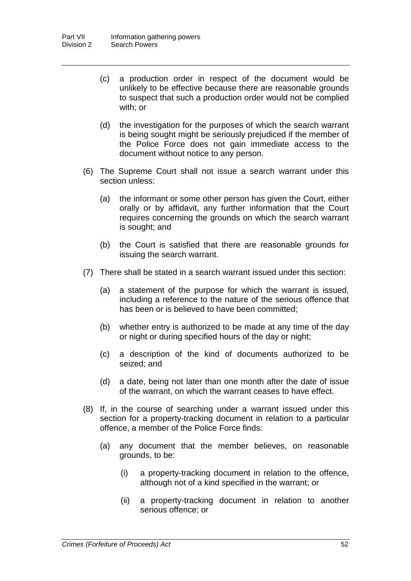- (c) a production order in respect of the document would be unlikely to be effective because there are reasonable grounds to suspect that such a production order would not be complied with; or
- (d) the investigation for the purposes of which the search warrant is being sought might be seriously prejudiced if the member of the Police Force does not gain immediate access to the document without notice to any person.
- (6) The Supreme Court shall not issue a search warrant under this section unless:
	- (a) the informant or some other person has given the Court, either orally or by affidavit, any further information that the Court requires concerning the grounds on which the search warrant is sought; and
	- (b) the Court is satisfied that there are reasonable grounds for issuing the search warrant.
- (7) There shall be stated in a search warrant issued under this section:
	- (a) a statement of the purpose for which the warrant is issued, including a reference to the nature of the serious offence that has been or is believed to have been committed;
	- (b) whether entry is authorized to be made at any time of the day or night or during specified hours of the day or night;
	- (c) a description of the kind of documents authorized to be seized; and
	- (d) a date, being not later than one month after the date of issue of the warrant, on which the warrant ceases to have effect.
- (8) If, in the course of searching under a warrant issued under this section for a property-tracking document in relation to a particular offence, a member of the Police Force finds:
	- (a) any document that the member believes, on reasonable grounds, to be:
		- (i) a property-tracking document in relation to the offence, although not of a kind specified in the warrant; or
		- (ii) a property-tracking document in relation to another serious offence; or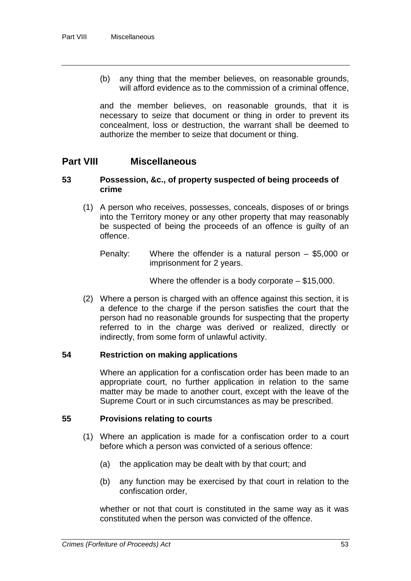(b) any thing that the member believes, on reasonable grounds, will afford evidence as to the commission of a criminal offence.

and the member believes, on reasonable grounds, that it is necessary to seize that document or thing in order to prevent its concealment, loss or destruction, the warrant shall be deemed to authorize the member to seize that document or thing.

### **Part VIII Miscellaneous**

#### **53 Possession, &c., of property suspected of being proceeds of crime**

- (1) A person who receives, possesses, conceals, disposes of or brings into the Territory money or any other property that may reasonably be suspected of being the proceeds of an offence is guilty of an offence.
	- Penalty: Where the offender is a natural person \$5,000 or imprisonment for 2 years.

Where the offender is a body corporate – \$15,000.

(2) Where a person is charged with an offence against this section, it is a defence to the charge if the person satisfies the court that the person had no reasonable grounds for suspecting that the property referred to in the charge was derived or realized, directly or indirectly, from some form of unlawful activity.

#### **54 Restriction on making applications**

Where an application for a confiscation order has been made to an appropriate court, no further application in relation to the same matter may be made to another court, except with the leave of the Supreme Court or in such circumstances as may be prescribed.

#### **55 Provisions relating to courts**

- (1) Where an application is made for a confiscation order to a court before which a person was convicted of a serious offence:
	- (a) the application may be dealt with by that court; and
	- (b) any function may be exercised by that court in relation to the confiscation order,

whether or not that court is constituted in the same way as it was constituted when the person was convicted of the offence.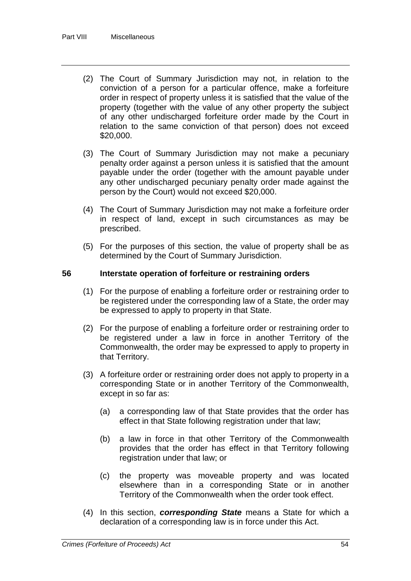- (2) The Court of Summary Jurisdiction may not, in relation to the conviction of a person for a particular offence, make a forfeiture order in respect of property unless it is satisfied that the value of the property (together with the value of any other property the subject of any other undischarged forfeiture order made by the Court in relation to the same conviction of that person) does not exceed \$20,000.
- (3) The Court of Summary Jurisdiction may not make a pecuniary penalty order against a person unless it is satisfied that the amount payable under the order (together with the amount payable under any other undischarged pecuniary penalty order made against the person by the Court) would not exceed \$20,000.
- (4) The Court of Summary Jurisdiction may not make a forfeiture order in respect of land, except in such circumstances as may be prescribed.
- (5) For the purposes of this section, the value of property shall be as determined by the Court of Summary Jurisdiction.

#### **56 Interstate operation of forfeiture or restraining orders**

- (1) For the purpose of enabling a forfeiture order or restraining order to be registered under the corresponding law of a State, the order may be expressed to apply to property in that State.
- (2) For the purpose of enabling a forfeiture order or restraining order to be registered under a law in force in another Territory of the Commonwealth, the order may be expressed to apply to property in that Territory.
- (3) A forfeiture order or restraining order does not apply to property in a corresponding State or in another Territory of the Commonwealth, except in so far as:
	- (a) a corresponding law of that State provides that the order has effect in that State following registration under that law;
	- (b) a law in force in that other Territory of the Commonwealth provides that the order has effect in that Territory following registration under that law; or
	- (c) the property was moveable property and was located elsewhere than in a corresponding State or in another Territory of the Commonwealth when the order took effect.
- (4) In this section, *corresponding State* means a State for which a declaration of a corresponding law is in force under this Act.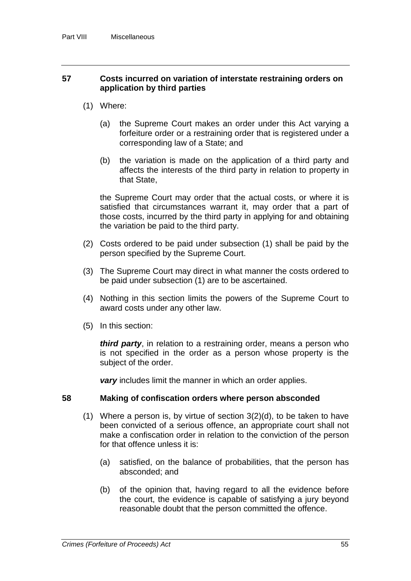#### **57 Costs incurred on variation of interstate restraining orders on application by third parties**

- (1) Where:
	- (a) the Supreme Court makes an order under this Act varying a forfeiture order or a restraining order that is registered under a corresponding law of a State; and
	- (b) the variation is made on the application of a third party and affects the interests of the third party in relation to property in that State,

the Supreme Court may order that the actual costs, or where it is satisfied that circumstances warrant it, may order that a part of those costs, incurred by the third party in applying for and obtaining the variation be paid to the third party.

- (2) Costs ordered to be paid under subsection (1) shall be paid by the person specified by the Supreme Court.
- (3) The Supreme Court may direct in what manner the costs ordered to be paid under subsection (1) are to be ascertained.
- (4) Nothing in this section limits the powers of the Supreme Court to award costs under any other law.
- (5) In this section:

*third party*, in relation to a restraining order, means a person who is not specified in the order as a person whose property is the subject of the order.

*vary* includes limit the manner in which an order applies.

#### **58 Making of confiscation orders where person absconded**

- (1) Where a person is, by virtue of section 3(2)(d), to be taken to have been convicted of a serious offence, an appropriate court shall not make a confiscation order in relation to the conviction of the person for that offence unless it is:
	- (a) satisfied, on the balance of probabilities, that the person has absconded; and
	- (b) of the opinion that, having regard to all the evidence before the court, the evidence is capable of satisfying a jury beyond reasonable doubt that the person committed the offence.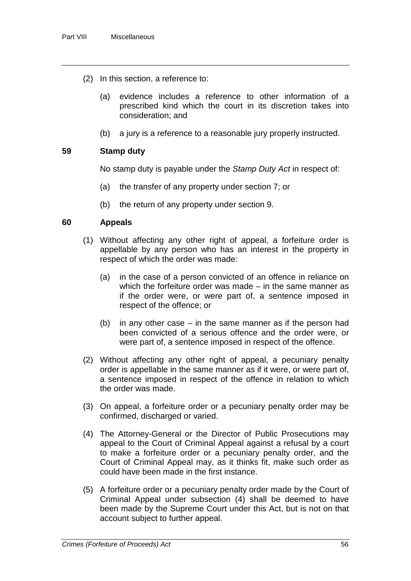- (2) In this section, a reference to:
	- (a) evidence includes a reference to other information of a prescribed kind which the court in its discretion takes into consideration; and
	- (b) a jury is a reference to a reasonable jury properly instructed.

#### **59 Stamp duty**

No stamp duty is payable under the *Stamp Duty Act* in respect of:

- (a) the transfer of any property under section 7; or
- (b) the return of any property under section 9.

#### **60 Appeals**

- (1) Without affecting any other right of appeal, a forfeiture order is appellable by any person who has an interest in the property in respect of which the order was made:
	- (a) in the case of a person convicted of an offence in reliance on which the forfeiture order was made – in the same manner as if the order were, or were part of, a sentence imposed in respect of the offence; or
	- (b) in any other case in the same manner as if the person had been convicted of a serious offence and the order were, or were part of, a sentence imposed in respect of the offence.
- (2) Without affecting any other right of appeal, a pecuniary penalty order is appellable in the same manner as if it were, or were part of, a sentence imposed in respect of the offence in relation to which the order was made.
- (3) On appeal, a forfeiture order or a pecuniary penalty order may be confirmed, discharged or varied.
- (4) The Attorney-General or the Director of Public Prosecutions may appeal to the Court of Criminal Appeal against a refusal by a court to make a forfeiture order or a pecuniary penalty order, and the Court of Criminal Appeal may, as it thinks fit, make such order as could have been made in the first instance.
- (5) A forfeiture order or a pecuniary penalty order made by the Court of Criminal Appeal under subsection (4) shall be deemed to have been made by the Supreme Court under this Act, but is not on that account subject to further appeal.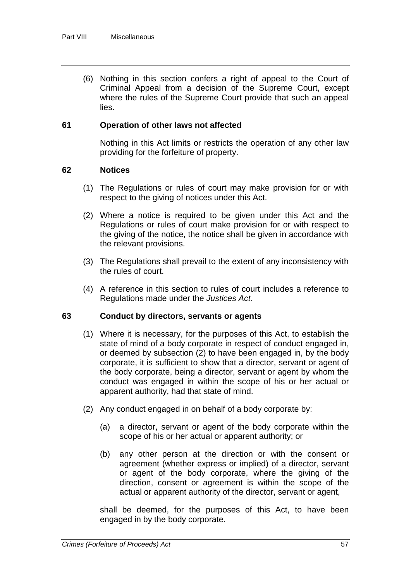(6) Nothing in this section confers a right of appeal to the Court of Criminal Appeal from a decision of the Supreme Court, except where the rules of the Supreme Court provide that such an appeal lies.

#### **61 Operation of other laws not affected**

Nothing in this Act limits or restricts the operation of any other law providing for the forfeiture of property.

#### **62 Notices**

- (1) The Regulations or rules of court may make provision for or with respect to the giving of notices under this Act.
- (2) Where a notice is required to be given under this Act and the Regulations or rules of court make provision for or with respect to the giving of the notice, the notice shall be given in accordance with the relevant provisions.
- (3) The Regulations shall prevail to the extent of any inconsistency with the rules of court.
- (4) A reference in this section to rules of court includes a reference to Regulations made under the *Justices Act*.

#### **63 Conduct by directors, servants or agents**

- (1) Where it is necessary, for the purposes of this Act, to establish the state of mind of a body corporate in respect of conduct engaged in, or deemed by subsection (2) to have been engaged in, by the body corporate, it is sufficient to show that a director, servant or agent of the body corporate, being a director, servant or agent by whom the conduct was engaged in within the scope of his or her actual or apparent authority, had that state of mind.
- (2) Any conduct engaged in on behalf of a body corporate by:
	- (a) a director, servant or agent of the body corporate within the scope of his or her actual or apparent authority; or
	- (b) any other person at the direction or with the consent or agreement (whether express or implied) of a director, servant or agent of the body corporate, where the giving of the direction, consent or agreement is within the scope of the actual or apparent authority of the director, servant or agent,

shall be deemed, for the purposes of this Act, to have been engaged in by the body corporate.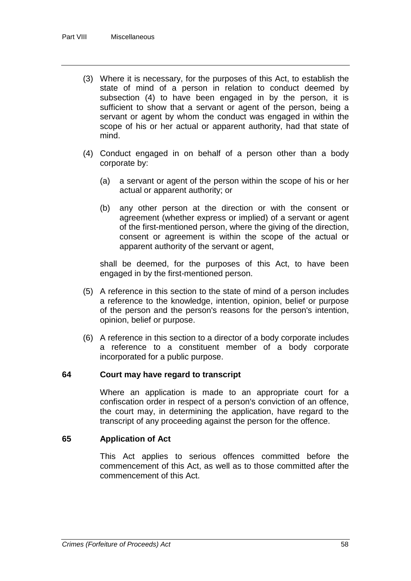- (3) Where it is necessary, for the purposes of this Act, to establish the state of mind of a person in relation to conduct deemed by subsection (4) to have been engaged in by the person, it is sufficient to show that a servant or agent of the person, being a servant or agent by whom the conduct was engaged in within the scope of his or her actual or apparent authority, had that state of mind.
- (4) Conduct engaged in on behalf of a person other than a body corporate by:
	- (a) a servant or agent of the person within the scope of his or her actual or apparent authority; or
	- (b) any other person at the direction or with the consent or agreement (whether express or implied) of a servant or agent of the first-mentioned person, where the giving of the direction, consent or agreement is within the scope of the actual or apparent authority of the servant or agent,

shall be deemed, for the purposes of this Act, to have been engaged in by the first-mentioned person.

- (5) A reference in this section to the state of mind of a person includes a reference to the knowledge, intention, opinion, belief or purpose of the person and the person's reasons for the person's intention, opinion, belief or purpose.
- (6) A reference in this section to a director of a body corporate includes a reference to a constituent member of a body corporate incorporated for a public purpose.

#### **64 Court may have regard to transcript**

Where an application is made to an appropriate court for a confiscation order in respect of a person's conviction of an offence, the court may, in determining the application, have regard to the transcript of any proceeding against the person for the offence.

### **65 Application of Act**

This Act applies to serious offences committed before the commencement of this Act, as well as to those committed after the commencement of this Act.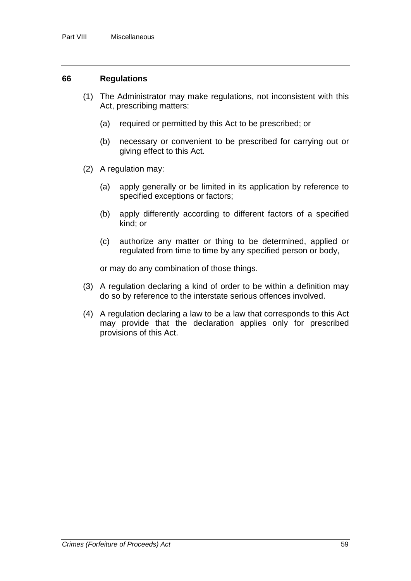#### **66 Regulations**

- (1) The Administrator may make regulations, not inconsistent with this Act, prescribing matters:
	- (a) required or permitted by this Act to be prescribed; or
	- (b) necessary or convenient to be prescribed for carrying out or giving effect to this Act.
- (2) A regulation may:
	- (a) apply generally or be limited in its application by reference to specified exceptions or factors;
	- (b) apply differently according to different factors of a specified kind; or
	- (c) authorize any matter or thing to be determined, applied or regulated from time to time by any specified person or body,

or may do any combination of those things.

- (3) A regulation declaring a kind of order to be within a definition may do so by reference to the interstate serious offences involved.
- (4) A regulation declaring a law to be a law that corresponds to this Act may provide that the declaration applies only for prescribed provisions of this Act.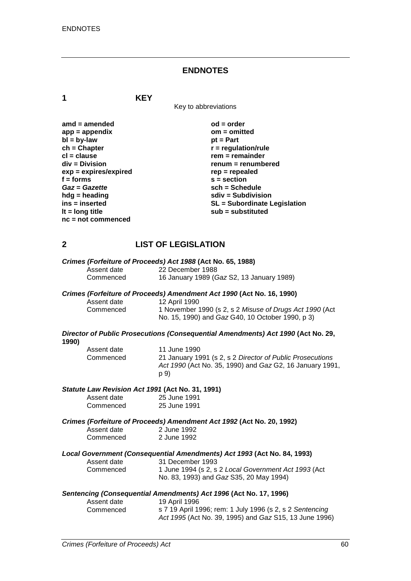#### **ENDNOTES**

**1 KEY**

Key to abbreviations

| $amd = amended$         | $od = order$                        |
|-------------------------|-------------------------------------|
| $app = appendix$        | $om = omitted$                      |
| $bl = by-law$           | $pt = Part$                         |
| $ch = Chapter$          | $r =$ regulation/rule               |
| $cl = clause$           | $rem = remainder$                   |
| div = Division          | renum = renumbered                  |
| $exp = expires/expired$ | $rep = repeated$                    |
| $f = form$              | $s = section$                       |
| Gaz = Gazette           | $sch = Schedule$                    |
| $h dg =$ heading        | $sdiv = Subdivision$                |
| ins = inserted          | <b>SL</b> = Subordinate Legislation |
| It = $long$ title       | $sub =$ substituted                 |
| $nc = not$ commenced    |                                     |

### **2 LIST OF LEGISLATION**

|             | Crimes (Forfeiture of Proceeds) Act 1988 (Act No. 65, 1988) |
|-------------|-------------------------------------------------------------|
| Assent date | 22 December 1988                                            |
| Commenced   | 16 January 1989 (Gaz S2, 13 January 1989)                   |

#### *Crimes (Forfeiture of Proceeds) Amendment Act 1990* **(Act No. 16, 1990)**

| Assent date<br>Commenced | 12 April 1990<br>1 November 1990 (s 2, s 2 Misuse of Drugs Act 1990 (Act<br>No. 15, 1990) and Gaz G40, 10 October 1990, p 3) |
|--------------------------|------------------------------------------------------------------------------------------------------------------------------|
|--------------------------|------------------------------------------------------------------------------------------------------------------------------|

#### *Director of Public Prosecutions (Consequential Amendments) Act 1990* **(Act No. 29, 1990)**

| Assent date | 11 June 1990                                              |
|-------------|-----------------------------------------------------------|
| Commenced   | 21 January 1991 (s 2, s 2 Director of Public Prosecutions |
|             | Act 1990 (Act No. 35, 1990) and Gaz G2, 16 January 1991,  |
|             | p 9)                                                      |

#### *Statute Law Revision Act 1991* **(Act No. 31, 1991)**

| Assent date | 25 June 1991 |
|-------------|--------------|
| Commenced   | 25 June 1991 |

*Crimes (Forfeiture of Proceeds) Amendment Act 1992* **(Act No. 20, 1992)**

| Assent date | 2 June 1992 |
|-------------|-------------|
| Commenced   | 2 June 1992 |

| Local Government (Consequential Amendments) Act 1993 (Act No. 84, 1993) |                                                                                                 |  |
|-------------------------------------------------------------------------|-------------------------------------------------------------------------------------------------|--|
| Assent date                                                             | 31 December 1993                                                                                |  |
| Commenced                                                               | 1 June 1994 (s 2, s 2 Local Government Act 1993 (Act<br>No. 83, 1993) and Gaz S35, 20 May 1994) |  |

#### *Sentencing (Consequential Amendments) Act 1996* **(Act No. 17, 1996)**

| Assent date | 19 April 1996                                            |
|-------------|----------------------------------------------------------|
| Commenced   | s 7 19 April 1996; rem: 1 July 1996 (s 2, s 2 Sentencing |
|             | Act 1995 (Act No. 39, 1995) and Gaz S15, 13 June 1996)   |